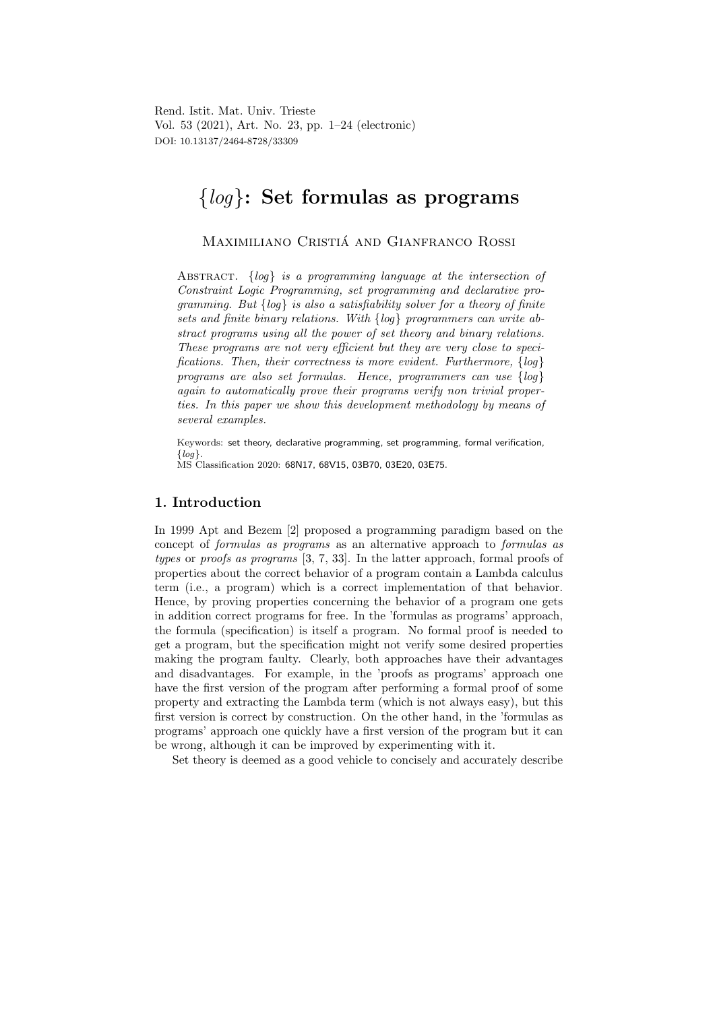Rend. Istit. Mat. Univ. Trieste Vol. 53 (2021), Art. No. 23, pp. 1–24 (electronic) DOI: 10.13137/2464-8728/33309

# {log}: Set formulas as programs

Maximiliano Cristia and Gianfranco Rossi ´

ABSTRACT.  $\{log\}$  is a programming language at the intersection of Constraint Logic Programming, set programming and declarative programming. But  $\{log\}$  is also a satisfiability solver for a theory of finite sets and finite binary relations. With {log} programmers can write abstract programs using all the power of set theory and binary relations. These programs are not very efficient but they are very close to specifications. Then, their correctness is more evident. Furthermore, {log} programs are also set formulas. Hence, programmers can use {log} again to automatically prove their programs verify non trivial properties. In this paper we show this development methodology by means of several examples.

Keywords: set theory, declarative programming, set programming, formal verification,  $\{log\}.$ 

MS Classification 2020: 68N17, 68V15, 03B70, 03E20, 03E75.

## 1. Introduction

In 1999 Apt and Bezem [2] proposed a programming paradigm based on the concept of formulas as programs as an alternative approach to formulas as types or proofs as programs [3, 7, 33]. In the latter approach, formal proofs of properties about the correct behavior of a program contain a Lambda calculus term (i.e., a program) which is a correct implementation of that behavior. Hence, by proving properties concerning the behavior of a program one gets in addition correct programs for free. In the 'formulas as programs' approach, the formula (specification) is itself a program. No formal proof is needed to get a program, but the specification might not verify some desired properties making the program faulty. Clearly, both approaches have their advantages and disadvantages. For example, in the 'proofs as programs' approach one have the first version of the program after performing a formal proof of some property and extracting the Lambda term (which is not always easy), but this first version is correct by construction. On the other hand, in the 'formulas as programs' approach one quickly have a first version of the program but it can be wrong, although it can be improved by experimenting with it.

Set theory is deemed as a good vehicle to concisely and accurately describe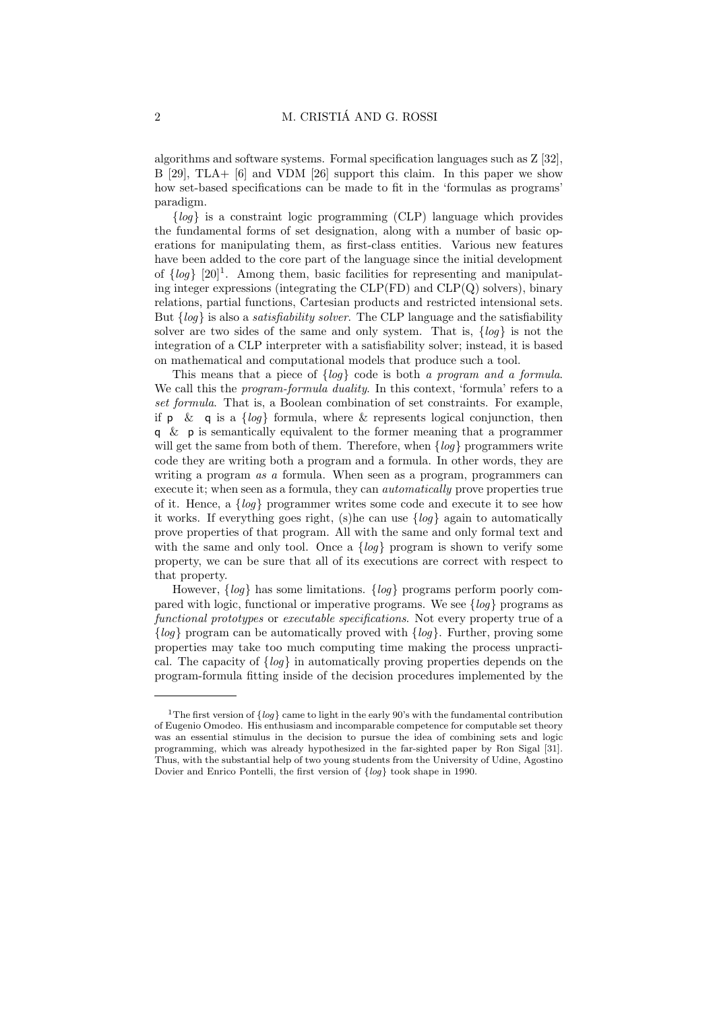algorithms and software systems. Formal specification languages such as Z [32], B [29], TLA+ [6] and VDM [26] support this claim. In this paper we show how set-based specifications can be made to fit in the 'formulas as programs' paradigm.

 ${log}$  is a constraint logic programming (CLP) language which provides the fundamental forms of set designation, along with a number of basic operations for manipulating them, as first-class entities. Various new features have been added to the core part of the language since the initial development of  $\{log\}$  [20]<sup>1</sup>. Among them, basic facilities for representing and manipulating integer expressions (integrating the  $CLP(FD)$  and  $CLP(Q)$  solvers), binary relations, partial functions, Cartesian products and restricted intensional sets. But  $\{log\}$  is also a *satisfiability solver*. The CLP language and the satisfiability solver are two sides of the same and only system. That is,  $\{log\}$  is not the integration of a CLP interpreter with a satisfiability solver; instead, it is based on mathematical and computational models that produce such a tool.

This means that a piece of  $\{log\}$  code is both a program and a formula. We call this the *program-formula duality*. In this context, 'formula' refers to a set formula. That is, a Boolean combination of set constraints. For example, if p & q is a  $\{log\}$  formula, where & represents logical conjunction, then q & p is semantically equivalent to the former meaning that a programmer will get the same from both of them. Therefore, when  $\{log\}$  programmers write code they are writing both a program and a formula. In other words, they are writing a program *as a* formula. When seen as a program, programmers can execute it; when seen as a formula, they can automatically prove properties true of it. Hence, a {log} programmer writes some code and execute it to see how it works. If everything goes right, (s) he can use  $\{log\}$  again to automatically prove properties of that program. All with the same and only formal text and with the same and only tool. Once a  $\{log\}$  program is shown to verify some property, we can be sure that all of its executions are correct with respect to that property.

However,  $\{log\}$  has some limitations.  $\{log\}$  programs perform poorly compared with logic, functional or imperative programs. We see  $\{log\}$  programs as functional prototypes or executable specifications. Not every property true of a  ${log}$  program can be automatically proved with  ${log}$ . Further, proving some properties may take too much computing time making the process unpractical. The capacity of  $\{log\}$  in automatically proving properties depends on the program-formula fitting inside of the decision procedures implemented by the

<sup>&</sup>lt;sup>1</sup>The first version of  $\{log\}$  came to light in the early 90's with the fundamental contribution of Eugenio Omodeo. His enthusiasm and incomparable competence for computable set theory was an essential stimulus in the decision to pursue the idea of combining sets and logic programming, which was already hypothesized in the far-sighted paper by Ron Sigal [31]. Thus, with the substantial help of two young students from the University of Udine, Agostino Dovier and Enrico Pontelli, the first version of  $\{log\}$  took shape in 1990.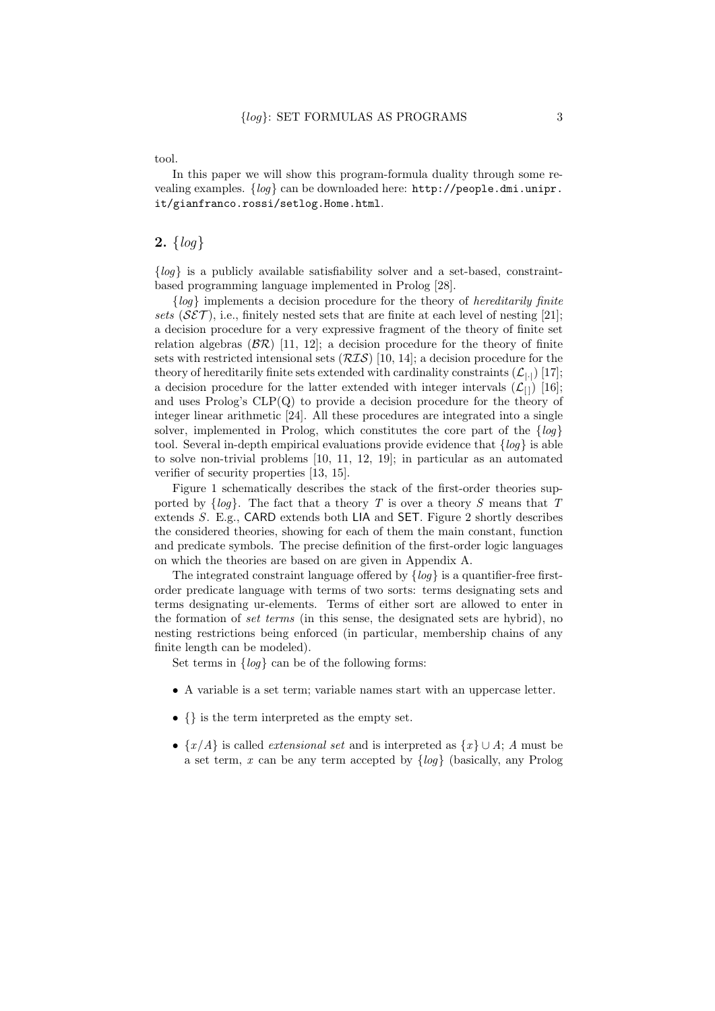tool.

In this paper we will show this program-formula duality through some revealing examples. {log} can be downloaded here: http://people.dmi.unipr. it/gianfranco.rossi/setlog.Home.html.

## **2.**  $\{log\}$

 ${log}$  is a publicly available satisfiability solver and a set-based, constraintbased programming language implemented in Prolog [28].

 ${log}$  implements a decision procedure for the theory of *hereditarily finite* sets  $(SET)$ , i.e., finitely nested sets that are finite at each level of nesting [21]; a decision procedure for a very expressive fragment of the theory of finite set relation algebras  $(B\mathcal{R})$  [11, 12]; a decision procedure for the theory of finite sets with restricted intensional sets  $(RIS)$  [10, 14]; a decision procedure for the theory of hereditarily finite sets extended with cardinality constraints  $(\mathcal{L}_{\text{L}})$  [17]; a decision procedure for the latter extended with integer intervals  $(\mathcal{L}_{[1]})$  [16]; and uses Prolog's CLP(Q) to provide a decision procedure for the theory of integer linear arithmetic [24]. All these procedures are integrated into a single solver, implemented in Prolog, which constitutes the core part of the  $\{log\}$ tool. Several in-depth empirical evaluations provide evidence that  $\{log\}$  is able to solve non-trivial problems [10, 11, 12, 19]; in particular as an automated verifier of security properties [13, 15].

Figure 1 schematically describes the stack of the first-order theories supported by  $\{log\}$ . The fact that a theory T is over a theory S means that T extends S. E.g., CARD extends both LIA and SET. Figure 2 shortly describes the considered theories, showing for each of them the main constant, function and predicate symbols. The precise definition of the first-order logic languages on which the theories are based on are given in Appendix A.

The integrated constraint language offered by  $\{log\}$  is a quantifier-free firstorder predicate language with terms of two sorts: terms designating sets and terms designating ur-elements. Terms of either sort are allowed to enter in the formation of set terms (in this sense, the designated sets are hybrid), no nesting restrictions being enforced (in particular, membership chains of any finite length can be modeled).

Set terms in  $\{log\}$  can be of the following forms:

- A variable is a set term; variable names start with an uppercase letter.
- {} is the term interpreted as the empty set.
- $\{x/A\}$  is called *extensional set* and is interpreted as  $\{x\} \cup A$ ; A must be a set term, x can be any term accepted by  $\{log\}$  (basically, any Prolog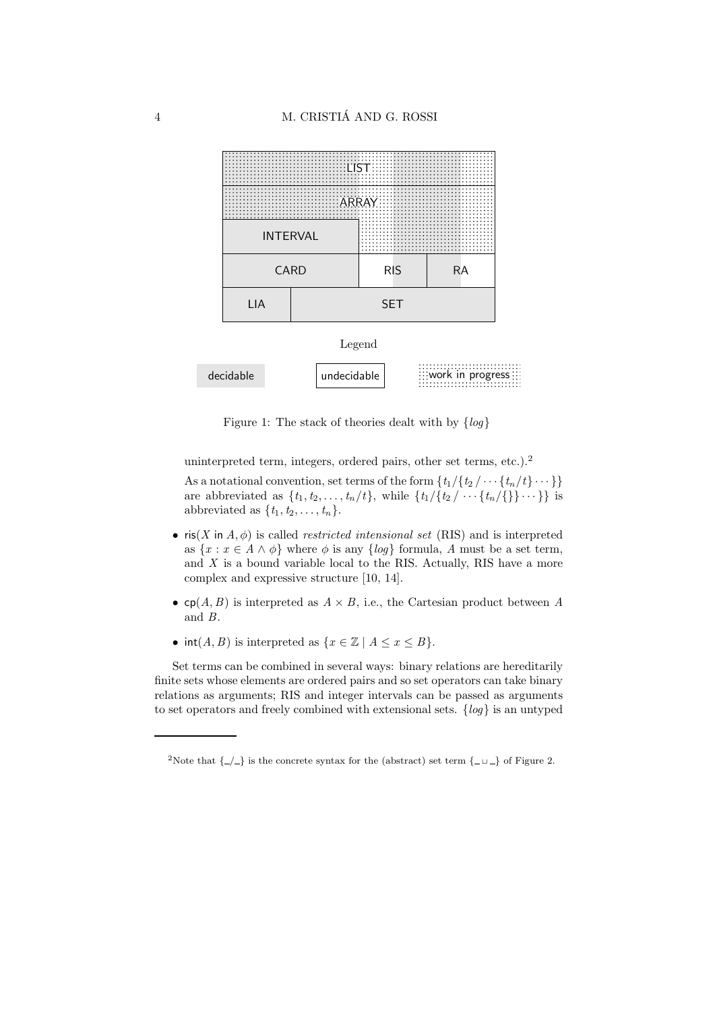

Figure 1: The stack of theories dealt with by  $\{log\}$ 

uninterpreted term, integers, ordered pairs, other set terms, etc.).<sup>2</sup>

As a notational convention, set terms of the form  $\{t_1/\{t_2/\cdots\{t_n/t\}\cdots\}\}\$ are abbreviated as  $\{t_1, t_2, \ldots, t_n/t\}$ , while  $\{t_1/\{t_2 / \cdots \{t_n/\{\}\} \cdots\} \}$  is abbreviated as  $\{t_1, t_2, \ldots, t_n\}$ .

- ris(X in A,  $\phi$ ) is called *restricted intensional set* (RIS) and is interpreted as  $\{x : x \in A \wedge \phi\}$  where  $\phi$  is any  $\{log\}$  formula, A must be a set term, and  $X$  is a bound variable local to the RIS. Actually, RIS have a more complex and expressive structure [10, 14].
- cp(A, B) is interpreted as  $A \times B$ , i.e., the Cartesian product between A and B.
- $int(A, B)$  is interpreted as  $\{x \in \mathbb{Z} \mid A \le x \le B\}.$

Set terms can be combined in several ways: binary relations are hereditarily finite sets whose elements are ordered pairs and so set operators can take binary relations as arguments; RIS and integer intervals can be passed as arguments to set operators and freely combined with extensional sets.  $\{log\}$  is an untyped

<sup>&</sup>lt;sup>2</sup>Note that  $\{-/-\}$  is the concrete syntax for the (abstract) set term  $\{-\sqcup\_\}$  of Figure 2.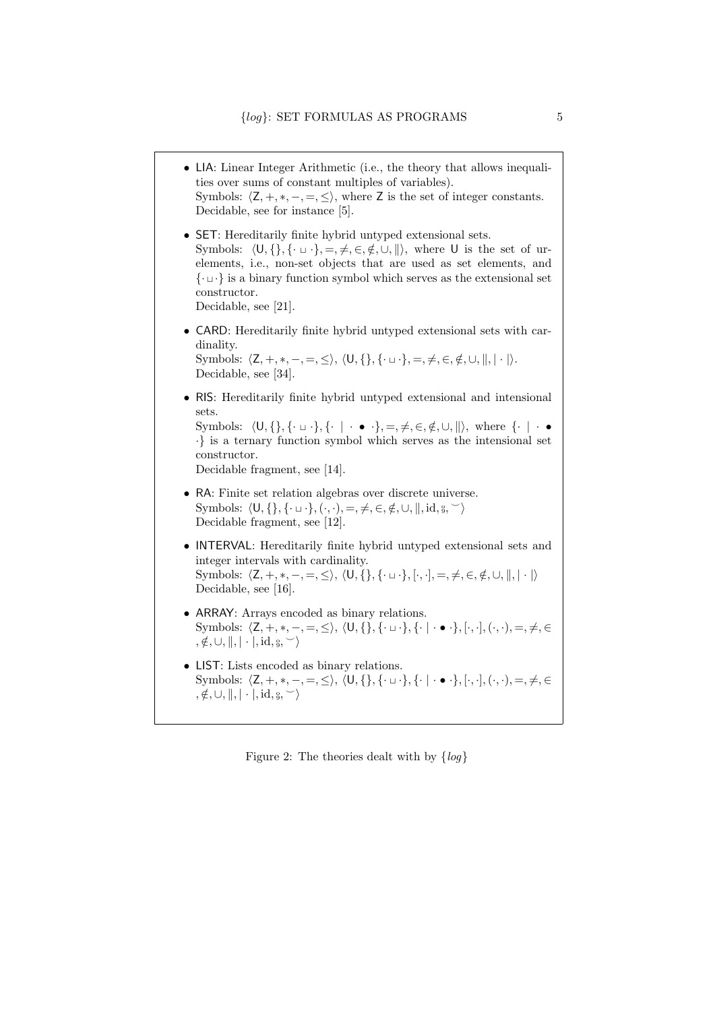• LIA: Linear Integer Arithmetic (i.e., the theory that allows inequalities over sums of constant multiples of variables). Symbols:  $\langle Z, +, *, -, =, \leq \rangle$ , where Z is the set of integer constants. Decidable, see for instance [5]. • SET: Hereditarily finite hybrid untyped extensional sets. Symbols:  $\langle U, \{\}, \{\cdot \sqcup \cdot\}, =, \neq, \in, \notin, \cup, \|\rangle$ , where U is the set of urelements, i.e., non-set objects that are used as set elements, and {· <sup>⊔</sup> ·} is a binary function symbol which serves as the extensional set constructor. Decidable, see [21]. • CARD: Hereditarily finite hybrid untyped extensional sets with cardinality. Symbols:  $\langle Z, +, *, -, =, \le \rangle$ ,  $\langle U, \{\}, \{\cdot \sqcup \cdot\}, =, \neq, \in, \notin, \cup, \|\, \cdot \|\rangle$ . Decidable, see [34]. • RIS: Hereditarily finite hybrid untyped extensional and intensional sets. Symbols:  $\langle U, \{\}, \{\cdot \sqcup \cdot\}, \{\cdot \mid \cdot \bullet \cdot\}, =, \neq, \in, \notin, \cup, \|\rangle$ , where  $\{\cdot \mid \cdot \bullet \cdot\}$ ·} is a ternary function symbol which serves as the intensional set constructor. Decidable fragment, see [14]. • RA: Finite set relation algebras over discrete universe. Symbols:  $\langle \mathsf{U}, \{\}, \{\cdot \sqcup \cdot\}, (\cdot, \cdot), =, \neq, \in, \notin, \cup, \|, id, \S, \vee \rangle$ Decidable fragment, see [12]. • INTERVAL: Hereditarily finite hybrid untyped extensional sets and integer intervals with cardinality.  $\text{Symbols: } \langle \mathsf{Z}, +, *, -, =, \leq \rangle, \: \langle \mathsf{U}, \{\}, \{\cdot \sqcup \cdot\}, [\cdot, \cdot], =, \neq, \in, \notin, \cup, \parallel, |\cdot|\rangle$ Decidable, see [16]. • ARRAY: Arrays encoded as binary relations.  $\text{Symbols: } \langle \mathsf{Z}, +, *, -, =, \leq \rangle, \: \langle \mathsf{U}, \{\}, \{\cdot \sqcup \cdot\}, \{\cdot \mid \cdot \bullet \cdot\}, [\cdot, \cdot], (\cdot, \cdot), =, \neq, \in$  $, \notin, \cup, \|, | \cdot |, id, \S, \leq \rangle$ • LIST: Lists encoded as binary relations. Symbols:  $\langle Z, +, *, -, =, \le \rangle$ ,  $\langle U, \{\}, \{\cdot \sqcup \cdot\}, \{\cdot \mid \cdot \bullet \cdot\}, [\cdot, \cdot], (\cdot, \cdot), =, \neq, \in$  $, \notin, \cup, \|, | \cdot |, id, \S, \vee$ 

Figure 2: The theories dealt with by  $\{log\}$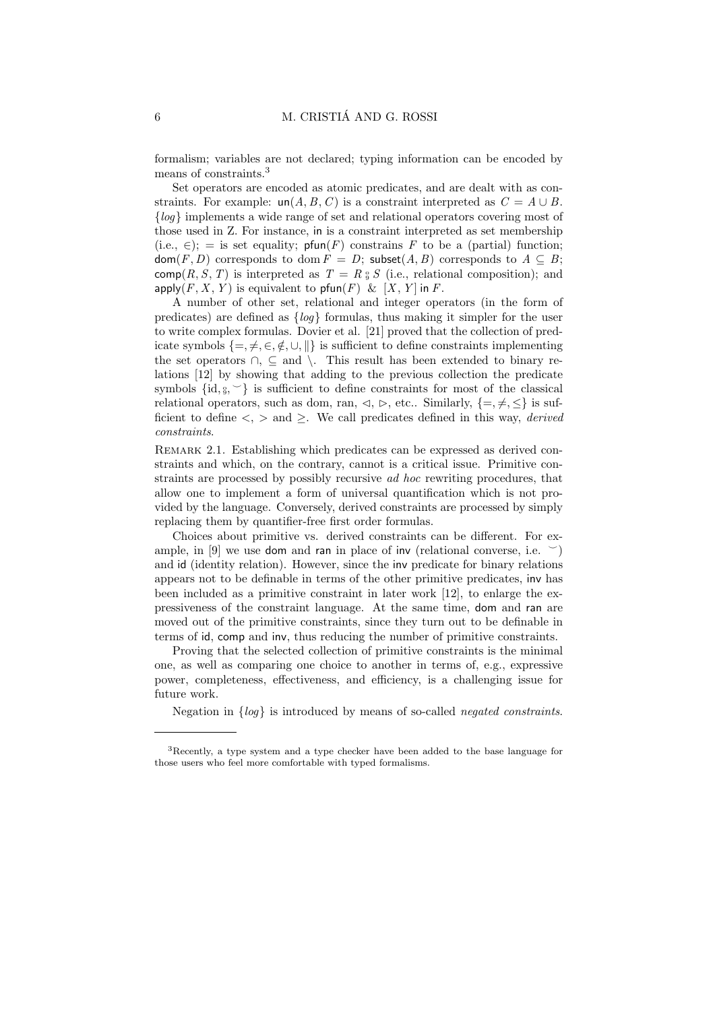formalism; variables are not declared; typing information can be encoded by means of constraints.<sup>3</sup>

Set operators are encoded as atomic predicates, and are dealt with as constraints. For example:  $un(A, B, C)$  is a constraint interpreted as  $C = A \cup B$ . {log} implements a wide range of set and relational operators covering most of those used in Z. For instance, in is a constraint interpreted as set membership (i.e.,  $\in$ ); = is set equality; pfun(F) constrains F to be a (partial) function;  $\text{dom}(F, D)$  corresponds to  $\text{dom}(F) = D$ ; subset $(A, B)$  corresponds to  $A \subseteq B$ ; comp(R, S, T) is interpreted as  $T = R_{9} S$  (i.e., relational composition); and apply(F, X, Y) is equivalent to pfun(F) &  $[X, Y]$  in F.

A number of other set, relational and integer operators (in the form of predicates) are defined as {log} formulas, thus making it simpler for the user to write complex formulas. Dovier et al. [21] proved that the collection of predicate symbols  $\{=\neq,\in,\notin,\cup,\|\}$  is sufficient to define constraints implementing the set operators  $\cap$ ,  $\subseteq$  and  $\setminus$ . This result has been extended to binary relations [12] by showing that adding to the previous collection the predicate symbols  $\{id, \S, \sim\}$  is sufficient to define constraints for most of the classical relational operators, such as dom, ran,  $\triangleleft$ ,  $\triangleright$ , etc.. Similarly,  $\{=\neq,\leq\}$  is sufficient to define  $\langle \cdot, \cdot \rangle$  and  $\geq$ . We call predicates defined in this way, *derived* constraints.

REMARK 2.1. Establishing which predicates can be expressed as derived constraints and which, on the contrary, cannot is a critical issue. Primitive constraints are processed by possibly recursive ad hoc rewriting procedures, that allow one to implement a form of universal quantification which is not provided by the language. Conversely, derived constraints are processed by simply replacing them by quantifier-free first order formulas.

Choices about primitive vs. derived constraints can be different. For example, in [9] we use dom and ran in place of inv (relational converse, i.e.  $\leq$ ) and id (identity relation). However, since the inv predicate for binary relations appears not to be definable in terms of the other primitive predicates, inv has been included as a primitive constraint in later work [12], to enlarge the expressiveness of the constraint language. At the same time, dom and ran are moved out of the primitive constraints, since they turn out to be definable in terms of id, comp and inv, thus reducing the number of primitive constraints.

Proving that the selected collection of primitive constraints is the minimal one, as well as comparing one choice to another in terms of, e.g., expressive power, completeness, effectiveness, and efficiency, is a challenging issue for future work.

Negation in {log} is introduced by means of so-called negated constraints.

<sup>3</sup>Recently, a type system and a type checker have been added to the base language for those users who feel more comfortable with typed formalisms.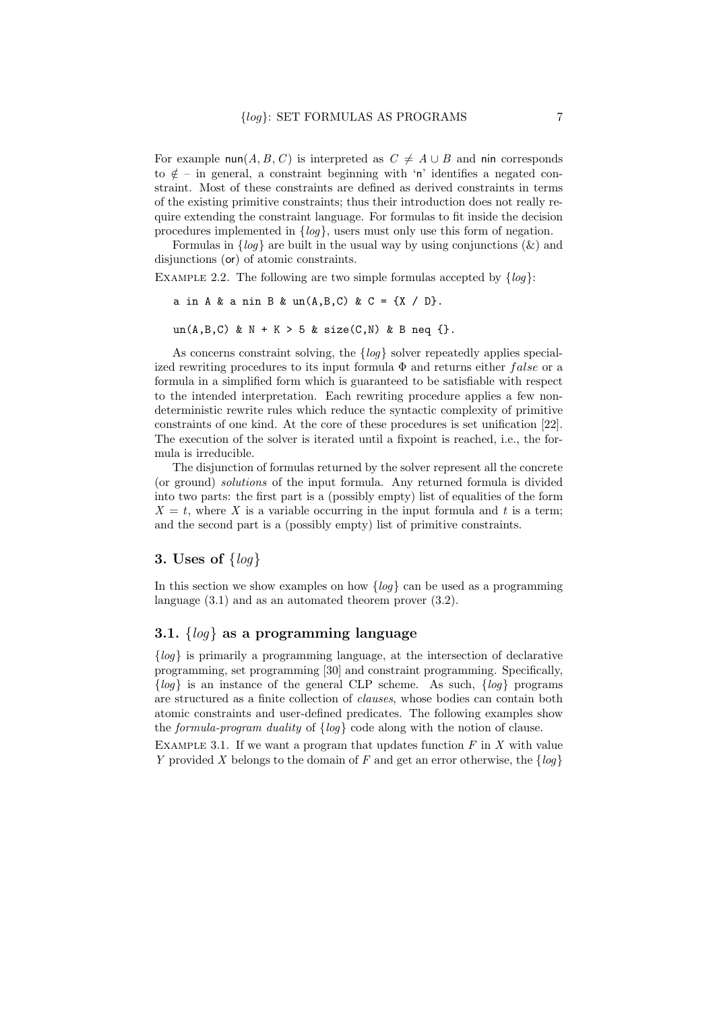For example nun(A, B, C) is interpreted as  $C \neq A \cup B$  and nin corresponds to  $\notin$  – in general, a constraint beginning with 'n' identifies a negated constraint. Most of these constraints are defined as derived constraints in terms of the existing primitive constraints; thus their introduction does not really require extending the constraint language. For formulas to fit inside the decision procedures implemented in  $\{log\}$ , users must only use this form of negation.

Formulas in  $\{log\}$  are built in the usual way by using conjunctions  $(\&)$  and disjunctions (or) of atomic constraints.

EXAMPLE 2.2. The following are two simple formulas accepted by  $\{log\}$ :

```
a in A & a nin B & un(A, B, C) & C = {X / D}.
```

```
un(A,B,C) & N + K > 5 & size(C,N) & B neq {}.
```
As concerns constraint solving, the  $\{log\}$  solver repeatedly applies specialized rewriting procedures to its input formula  $\Phi$  and returns either false or a formula in a simplified form which is guaranteed to be satisfiable with respect to the intended interpretation. Each rewriting procedure applies a few nondeterministic rewrite rules which reduce the syntactic complexity of primitive constraints of one kind. At the core of these procedures is set unification [22]. The execution of the solver is iterated until a fixpoint is reached, i.e., the formula is irreducible.

The disjunction of formulas returned by the solver represent all the concrete (or ground) solutions of the input formula. Any returned formula is divided into two parts: the first part is a (possibly empty) list of equalities of the form  $X = t$ , where X is a variable occurring in the input formula and t is a term; and the second part is a (possibly empty) list of primitive constraints.

## 3. Uses of  $\{log\}$

In this section we show examples on how  $\{log\}$  can be used as a programming language (3.1) and as an automated theorem prover (3.2).

## 3.1.  $\{log\}$  as a programming language

 ${log}$  is primarily a programming language, at the intersection of declarative programming, set programming [30] and constraint programming. Specifically,  ${log}$  is an instance of the general CLP scheme. As such,  ${log}$  programs are structured as a finite collection of clauses, whose bodies can contain both atomic constraints and user-defined predicates. The following examples show the formula-program duality of {log} code along with the notion of clause.

EXAMPLE 3.1. If we want a program that updates function  $F$  in  $X$  with value Y provided X belongs to the domain of F and get an error otherwise, the  $\{log\}$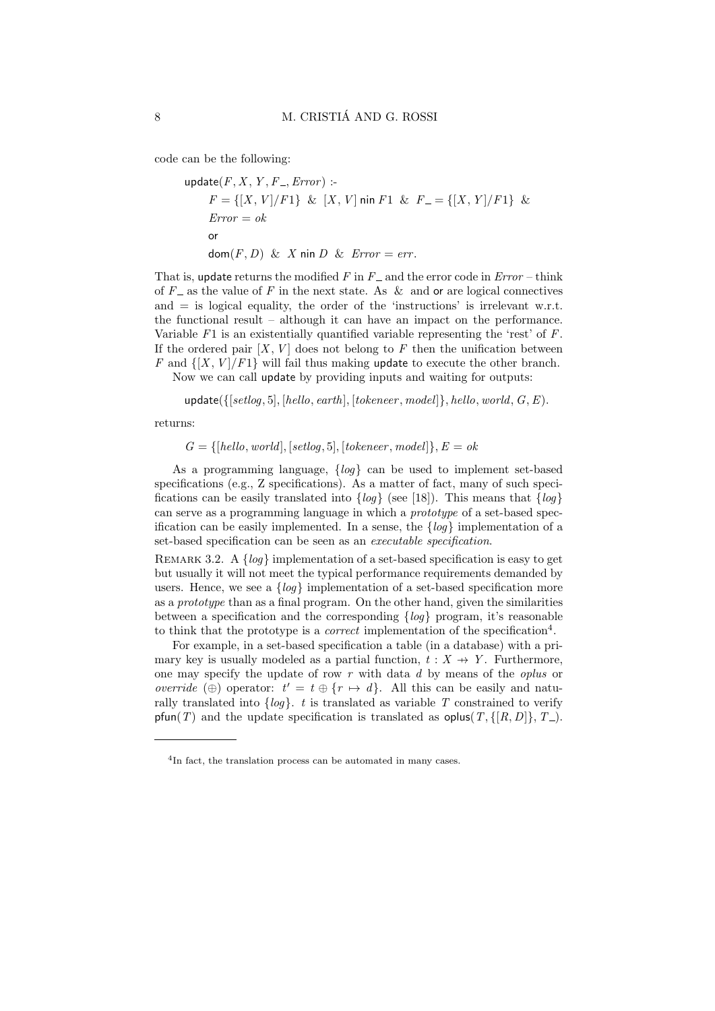code can be the following:

update(*F*, *X*, *Y*, *F*\_, Error) :-  
\n
$$
F = \{ [X, V] / F1 \} \& [X, V] \text{ min } F1 \& F_ = \{ [X, Y] / F1 \} \&
$$
\n
$$
Error = ok
$$
\nor\n
$$
dom(F, D) \& X \text{ min } D \& Error = err.
$$

That is, update returns the modified  $F$  in  $F_$  and the error code in  $Error - think$ of  $F_{-}$  as the value of F in the next state. As & and or are logical connectives and  $=$  is logical equality, the order of the 'instructions' is irrelevant w.r.t. the functional result – although it can have an impact on the performance. Variable  $F1$  is an existentially quantified variable representing the 'rest' of  $F$ . If the ordered pair  $[X, V]$  does not belong to F then the unification between F and  $\{[X, V]/F1\}$  will fail thus making update to execute the other branch. Now we can call update by providing inputs and waiting for outputs:

 $update({[setlog, 5], [hello, earth], [tokeneer, model]}, held, world, G, E).$ 

returns:

 $G = \{[hello, world], [setlog, 5], [tokeneer, model]\}, E = ok$ 

As a programming language,  $\{log\}$  can be used to implement set-based specifications (e.g., Z specifications). As a matter of fact, many of such specifications can be easily translated into  $\{log\}$  (see [18]). This means that  $\{log\}$ can serve as a programming language in which a prototype of a set-based specification can be easily implemented. In a sense, the  $\{log\}$  implementation of a set-based specification can be seen as an executable specification.

REMARK 3.2. A  $\{log\}$  implementation of a set-based specification is easy to get but usually it will not meet the typical performance requirements demanded by users. Hence, we see a  $\{log\}$  implementation of a set-based specification more as a prototype than as a final program. On the other hand, given the similarities between a specification and the corresponding  $\{log\}$  program, it's reasonable to think that the prototype is a *correct* implementation of the specification<sup>4</sup>.

For example, in a set-based specification a table (in a database) with a primary key is usually modeled as a partial function,  $t : X \rightarrow Y$ . Furthermore, one may specify the update of row  $r$  with data  $d$  by means of the *oplus* or override (⊕) operator:  $t' = t \oplus \{r \mapsto d\}$ . All this can be easily and naturally translated into  $\{log\}$ . t is translated as variable T constrained to verify pfun(T) and the update specification is translated as oplus(T,  $\{[R, D]\}, T$ ).

<sup>&</sup>lt;sup>4</sup>In fact, the translation process can be automated in many cases.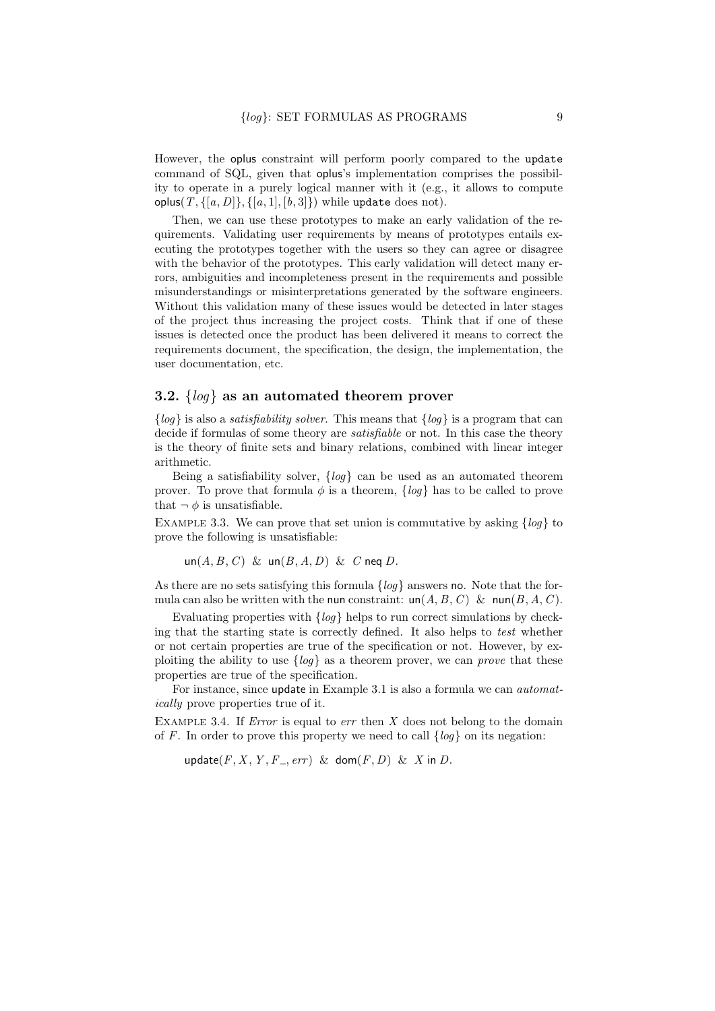However, the oplus constraint will perform poorly compared to the update command of SQL, given that oplus's implementation comprises the possibility to operate in a purely logical manner with it (e.g., it allows to compute oplus(  $T$ , {[a, D]}, {[a, 1], [b, 3]}) while update does not).

Then, we can use these prototypes to make an early validation of the requirements. Validating user requirements by means of prototypes entails executing the prototypes together with the users so they can agree or disagree with the behavior of the prototypes. This early validation will detect many errors, ambiguities and incompleteness present in the requirements and possible misunderstandings or misinterpretations generated by the software engineers. Without this validation many of these issues would be detected in later stages of the project thus increasing the project costs. Think that if one of these issues is detected once the product has been delivered it means to correct the requirements document, the specification, the design, the implementation, the user documentation, etc.

## 3.2.  $\{log\}$  as an automated theorem prover

 ${log}$  is also a *satisfiability solver*. This means that  ${log}$  is a program that can decide if formulas of some theory are *satisfiable* or not. In this case the theory is the theory of finite sets and binary relations, combined with linear integer arithmetic.

Being a satisfiability solver,  $\{log\}$  can be used as an automated theorem prover. To prove that formula  $\phi$  is a theorem,  $\{log\}$  has to be called to prove that  $\neg \phi$  is unsatisfiable.

EXAMPLE 3.3. We can prove that set union is commutative by asking  $\{log\}$  to prove the following is unsatisfiable:

 $un(A, B, C) \& un(B, A, D) \& C$  neq D.

As there are no sets satisfying this formula  $\{log\}$  answers no. Note that the formula can also be written with the nun constraint:  $\text{un}(A, B, C)$  &  $\text{num}(B, A, C)$ .

Evaluating properties with  $\{log\}$  helps to run correct simulations by checking that the starting state is correctly defined. It also helps to test whether or not certain properties are true of the specification or not. However, by exploiting the ability to use  $\{log\}$  as a theorem prover, we can *prove* that these properties are true of the specification.

For instance, since update in Example 3.1 is also a formula we can automatically prove properties true of it.

EXAMPLE 3.4. If *Error* is equal to  $err$  then X does not belong to the domain of F. In order to prove this property we need to call  $\{log\}$  on its negation:

update $(F, X, Y, F_-, err)$  & dom $(F, D)$  & X in D.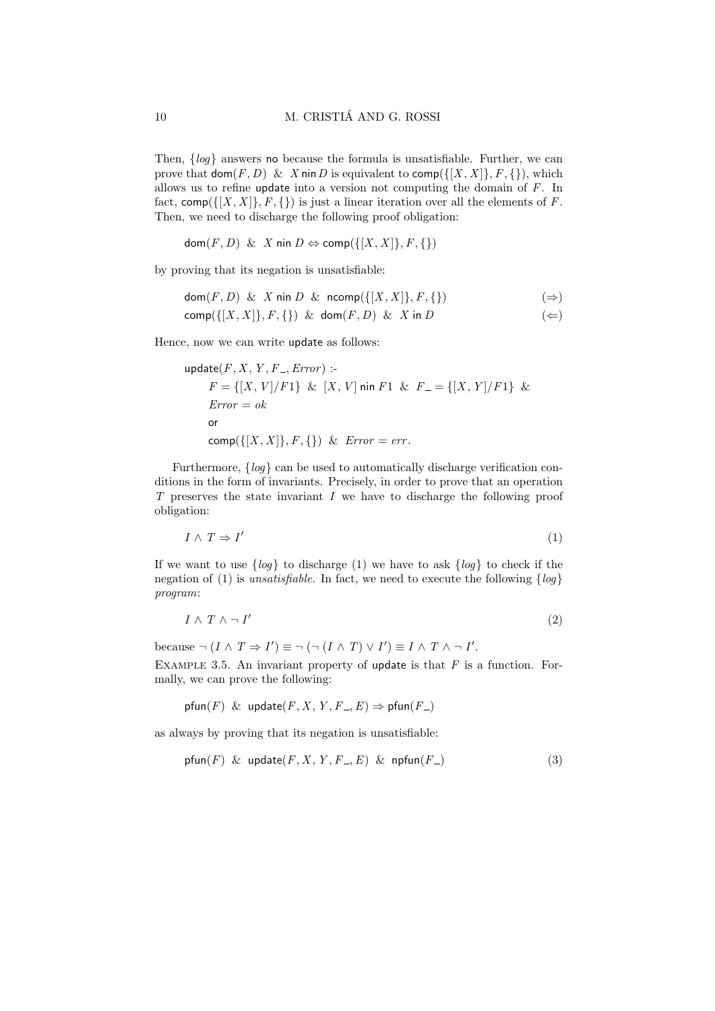Then,  $\{log\}$  answers no because the formula is unsatisfiable. Further, we can prove that  $\textsf{dom}(F, D) \& X \textsf{nin } D$  is equivalent to  $\textsf{comp}(\{[X, X]\}, F, \{\})$ , which allows us to refine update into a version not computing the domain of F. In fact,  $\text{comp}(\{[X, X]\}, F, \{\})$  is just a linear iteration over all the elements of F. Then, we need to discharge the following proof obligation:

dom $(F, D)$  & X nin  $D \Leftrightarrow \text{comp}(\{[X, X]\}, F, \{\})$ 

by proving that its negation is unsatisfiable:

$$
dom(F, D) \& X \text{ nin } D \& \text{ncomp}(\{[X, X]\}, F, \{\})
$$
  
\n
$$
comp(\{[X, X]\}, F, \{\}) \& \text{dom}(F, D) \& X \text{ in } D
$$
\n
$$
(\Leftarrow)
$$

Hence, now we can write update as follows:

update(*F*, *X*, *Y*, *F*\_, Error) :-  
\n
$$
F = \{ [X, V] / F1 \} \& [X, V] \text{ min } F1 \& F_ = \{ [X, Y] / F1 \} \&
$$
\n
$$
Error = ok
$$
\nor\n
$$
comp(\{ [X, X] \}, F, \{ \} ) \& Error = err.
$$

Furthermore,  $\{log\}$  can be used to automatically discharge verification conditions in the form of invariants. Precisely, in order to prove that an operation T preserves the state invariant I we have to discharge the following proof obligation:

$$
I \wedge T \Rightarrow I' \tag{1}
$$

If we want to use  $\{log\}$  to discharge (1) we have to ask  $\{log\}$  to check if the negation of (1) is unsatisfiable. In fact, we need to execute the following  $\{log\}$ program:

$$
I \wedge T \wedge \neg I' \tag{2}
$$

because  $\neg (I \land T \Rightarrow I') \equiv \neg (\neg (I \land T) \lor I') \equiv I \land T \land \neg I'.$ 

EXAMPLE 3.5. An invariant property of update is that  $F$  is a function. Formally, we can prove the following:

$$
pfun(F) \& update(F, X, Y, F_-, E) \Rightarrow pfun(F_-)
$$

as always by proving that its negation is unsatisfiable:

$$
\mathsf{pfun}(F) \And \mathsf{update}(F, X, Y, F_{-}, E) \And \mathsf{npfun}(F_{-})
$$
\n
$$
(3)
$$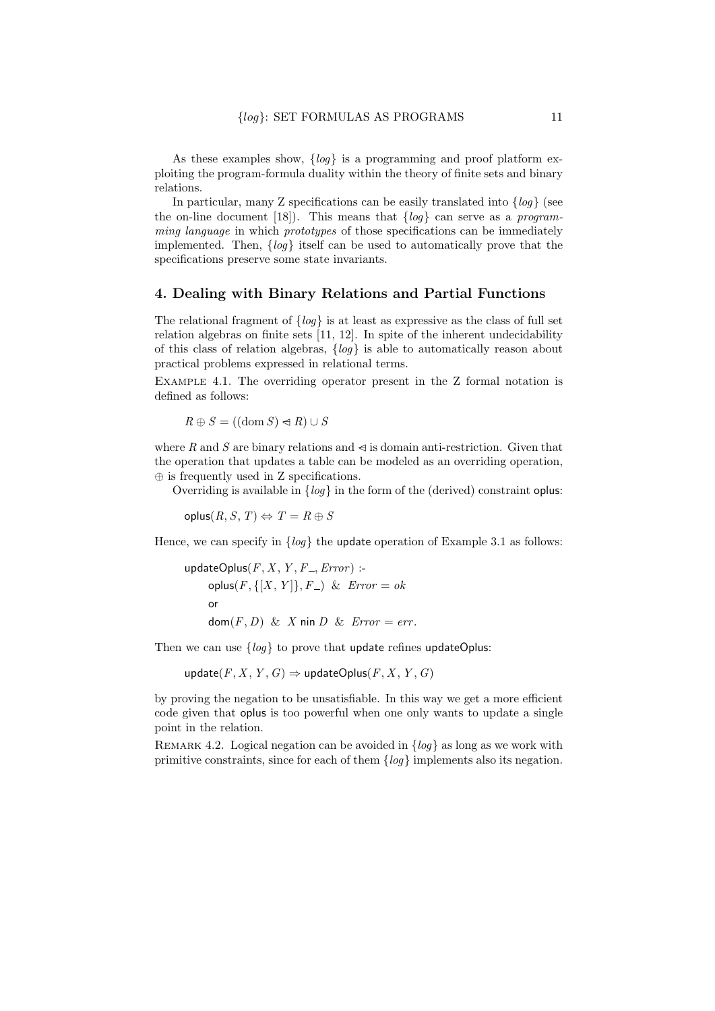As these examples show,  $\{log\}$  is a programming and proof platform exploiting the program-formula duality within the theory of finite sets and binary relations.

In particular, many Z specifications can be easily translated into  $\{log\}$  (see the on-line document [18]). This means that  $\{log\}$  can serve as a programming language in which prototypes of those specifications can be immediately implemented. Then,  $\{log\}$  itself can be used to automatically prove that the specifications preserve some state invariants.

#### 4. Dealing with Binary Relations and Partial Functions

The relational fragment of  $\{log\}$  is at least as expressive as the class of full set relation algebras on finite sets [11, 12]. In spite of the inherent undecidability of this class of relation algebras,  $\{log\}$  is able to automatically reason about practical problems expressed in relational terms.

Example 4.1. The overriding operator present in the Z formal notation is defined as follows:

 $R \oplus S = ((\text{dom } S) \Leftrightarrow R) \cup S$ 

where R and S are binary relations and  $\leq$  is domain anti-restriction. Given that the operation that updates a table can be modeled as an overriding operation, ⊕ is frequently used in Z specifications.

Overriding is available in  $\{log\}$  in the form of the (derived) constraint oplus:

 $oplus S(R, S, T) \Leftrightarrow T = R \oplus S$ 

Hence, we can specify in  $\{log\}$  the update operation of Example 3.1 as follows:

updateOplus $(F, X, Y, F_-, Error)$  :oplus $(F, \{[X, Y]\}, F)$  &  $Error = ok$ or  $dom(F, D) \& X \text{ nin } D \& Error = err.$ 

Then we can use  $\{log\}$  to prove that update refines updateOplus:

update(F, X, Y, G)  $\Rightarrow$  updateOplus(F, X, Y, G)

by proving the negation to be unsatisfiable. In this way we get a more efficient code given that oplus is too powerful when one only wants to update a single point in the relation.

REMARK 4.2. Logical negation can be avoided in  $\{log\}$  as long as we work with primitive constraints, since for each of them  $\{log\}$  implements also its negation.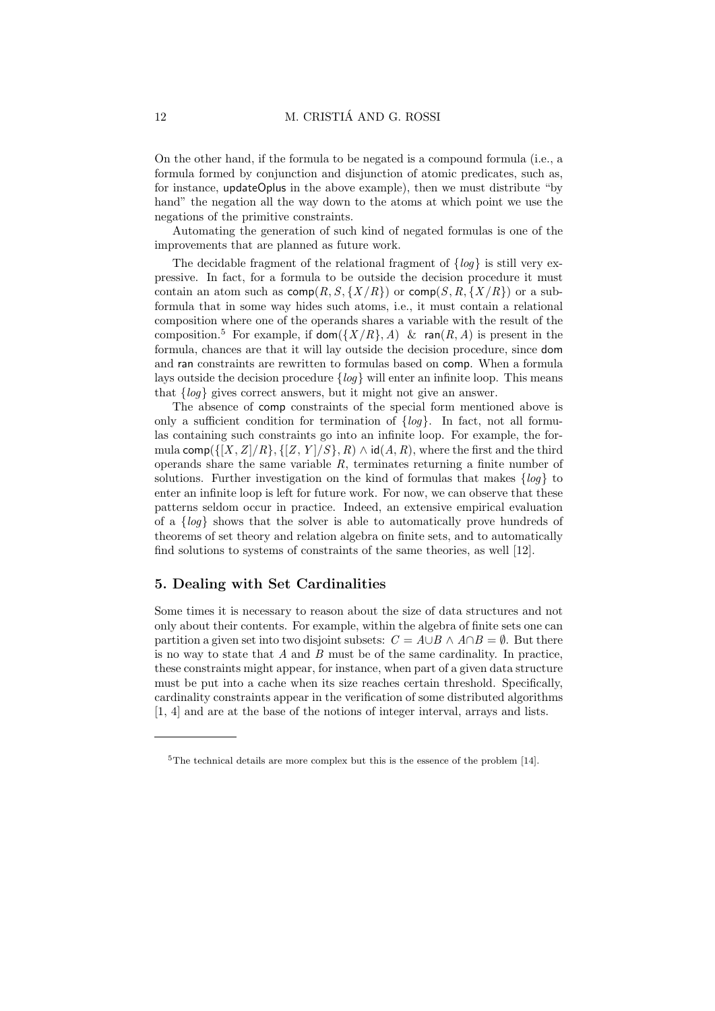On the other hand, if the formula to be negated is a compound formula (i.e., a formula formed by conjunction and disjunction of atomic predicates, such as, for instance, updateOplus in the above example), then we must distribute "by hand" the negation all the way down to the atoms at which point we use the negations of the primitive constraints.

Automating the generation of such kind of negated formulas is one of the improvements that are planned as future work.

The decidable fragment of the relational fragment of  $\{log\}$  is still very expressive. In fact, for a formula to be outside the decision procedure it must contain an atom such as  $\text{comp}(R, S, \{X/R\})$  or  $\text{comp}(S, R, \{X/R\})$  or a subformula that in some way hides such atoms, i.e., it must contain a relational composition where one of the operands shares a variable with the result of the composition.<sup>5</sup> For example, if  $\textsf{dom}(\{X/R\}, A)$  & ran(R, A) is present in the formula, chances are that it will lay outside the decision procedure, since dom and ran constraints are rewritten to formulas based on comp. When a formula lays outside the decision procedure  ${loq}$  will enter an infinite loop. This means that {log} gives correct answers, but it might not give an answer.

The absence of comp constraints of the special form mentioned above is only a sufficient condition for termination of  $\{log\}$ . In fact, not all formulas containing such constraints go into an infinite loop. For example, the formula comp( $\{[X, Z]/R\}, \{[Z, Y]/S\}, R) \wedge id(A, R)$ , where the first and the third operands share the same variable  $R$ , terminates returning a finite number of solutions. Further investigation on the kind of formulas that makes  $\{log\}$  to enter an infinite loop is left for future work. For now, we can observe that these patterns seldom occur in practice. Indeed, an extensive empirical evaluation of a  $\{log\}$  shows that the solver is able to automatically prove hundreds of theorems of set theory and relation algebra on finite sets, and to automatically find solutions to systems of constraints of the same theories, as well [12].

## 5. Dealing with Set Cardinalities

Some times it is necessary to reason about the size of data structures and not only about their contents. For example, within the algebra of finite sets one can partition a given set into two disjoint subsets:  $C = A \cup B \wedge A \cap B = \emptyset$ . But there is no way to state that  $A$  and  $B$  must be of the same cardinality. In practice, these constraints might appear, for instance, when part of a given data structure must be put into a cache when its size reaches certain threshold. Specifically, cardinality constraints appear in the verification of some distributed algorithms [1, 4] and are at the base of the notions of integer interval, arrays and lists.

<sup>5</sup>The technical details are more complex but this is the essence of the problem [14].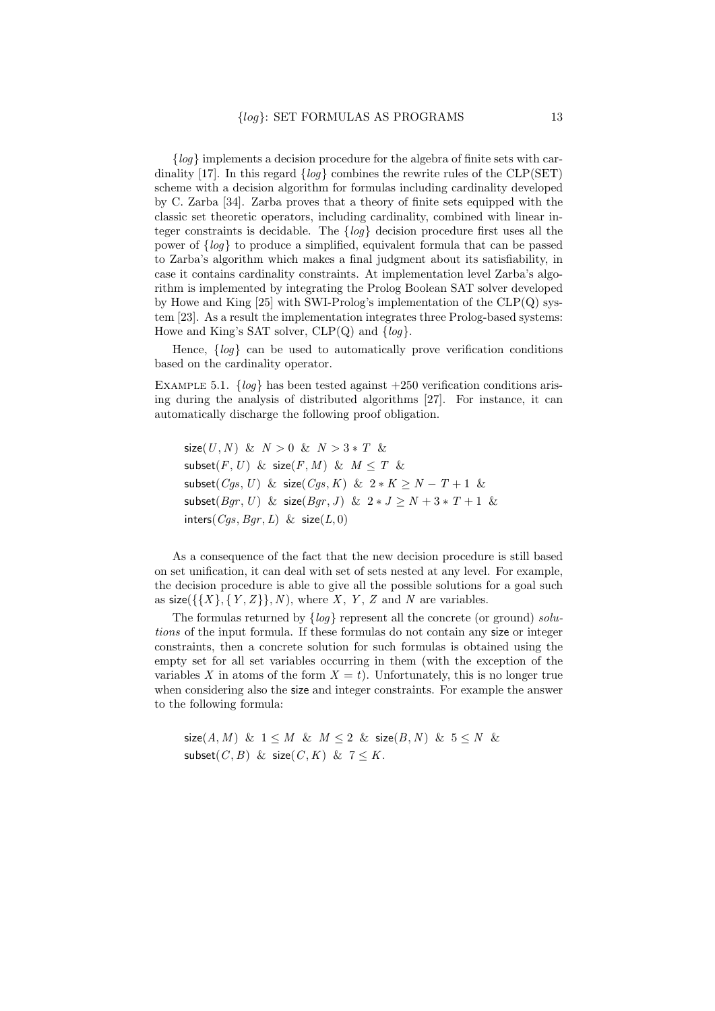${log}$  implements a decision procedure for the algebra of finite sets with cardinality [17]. In this regard  $\{log\}$  combines the rewrite rules of the CLP(SET) scheme with a decision algorithm for formulas including cardinality developed by C. Zarba [34]. Zarba proves that a theory of finite sets equipped with the classic set theoretic operators, including cardinality, combined with linear integer constraints is decidable. The  $\{log\}$  decision procedure first uses all the power of {log} to produce a simplified, equivalent formula that can be passed to Zarba's algorithm which makes a final judgment about its satisfiability, in case it contains cardinality constraints. At implementation level Zarba's algorithm is implemented by integrating the Prolog Boolean SAT solver developed by Howe and King  $[25]$  with SWI-Prolog's implementation of the  $CLP(Q)$  system [23]. As a result the implementation integrates three Prolog-based systems: Howe and King's SAT solver,  $CLP(Q)$  and  $\{log\}$ .

Hence,  $\{log\}$  can be used to automatically prove verification conditions based on the cardinality operator.

EXAMPLE 5.1.  $\{log\}$  has been tested against  $+250$  verification conditions arising during the analysis of distributed algorithms [27]. For instance, it can automatically discharge the following proof obligation.

size(U, N) &  $N > 0$  &  $N > 3 * T$  & subset $(F, U)$  & size $(F, M)$  &  $M \leq T$  & subset(Cgs, U) & size(Cgs, K) &  $2*K \ge N - T + 1$  & subset(*Bqr*, *U*) & size(*Bqr*, *J*) &  $2 * J > N + 3 * T + 1$  & inters( $Cqs, Bqr, L$ ) & size( $L, 0$ )

As a consequence of the fact that the new decision procedure is still based on set unification, it can deal with set of sets nested at any level. For example, the decision procedure is able to give all the possible solutions for a goal such as  $size({\{\{X\},\{Y,Z\}\},N})$ , where X, Y, Z and N are variables.

The formulas returned by  $\{log\}$  represent all the concrete (or ground) solutions of the input formula. If these formulas do not contain any size or integer constraints, then a concrete solution for such formulas is obtained using the empty set for all set variables occurring in them (with the exception of the variables X in atoms of the form  $X = t$ ). Unfortunately, this is no longer true when considering also the size and integer constraints. For example the answer to the following formula:

size(A, M) &  $1 \leq M$  &  $M \leq 2$  & size(B, N) &  $5 \leq N$  & subset $(C, B)$  & size $(C, K)$  &  $7 \leq K$ .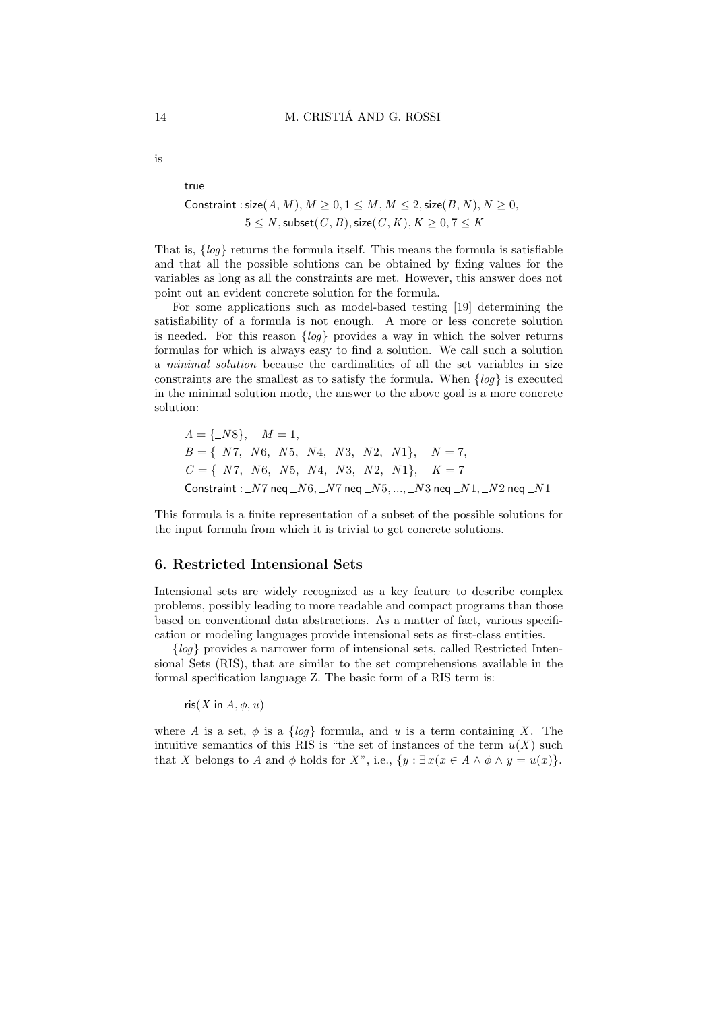is

#### true

# Constraint : size(A, M),  $M \geq 0, 1 \leq M, M \leq 2$ , size(B, N),  $N \geq 0$ ,  $5 \leq N$ , subset $(C, B)$ , size $(C, K)$ ,  $K \geq 0, 7 \leq K$

That is, {log} returns the formula itself. This means the formula is satisfiable and that all the possible solutions can be obtained by fixing values for the variables as long as all the constraints are met. However, this answer does not point out an evident concrete solution for the formula.

For some applications such as model-based testing [19] determining the satisfiability of a formula is not enough. A more or less concrete solution is needed. For this reason  $\{log\}$  provides a way in which the solver returns formulas for which is always easy to find a solution. We call such a solution a minimal solution because the cardinalities of all the set variables in size constraints are the smallest as to satisfy the formula. When  $\{log\}$  is executed in the minimal solution mode, the answer to the above goal is a more concrete solution:

$$
A = \{-N8\}, \quad M = 1,
$$
  
\n
$$
B = \{-N7, -N6, -N5, -N4, -N3, -N2, -N1\}, \quad N = 7,
$$
  
\n
$$
C = \{-N7, -N6, -N5, -N4, -N3, -N2, -N1\}, \quad K = 7
$$
  
\nConstruct:  $-N7$  neg  $-N6, -N7$  neg  $-N5, ..., -N3$  neg  $-N1, -N2$  neg  $-N1$ 

This formula is a finite representation of a subset of the possible solutions for the input formula from which it is trivial to get concrete solutions.

#### 6. Restricted Intensional Sets

Intensional sets are widely recognized as a key feature to describe complex problems, possibly leading to more readable and compact programs than those based on conventional data abstractions. As a matter of fact, various specification or modeling languages provide intensional sets as first-class entities.

{log} provides a narrower form of intensional sets, called Restricted Intensional Sets (RIS), that are similar to the set comprehensions available in the formal specification language Z. The basic form of a RIS term is:

ris $(X \text{ in } A, \phi, u)$ 

where A is a set,  $\phi$  is a {loq} formula, and u is a term containing X. The intuitive semantics of this RIS is "the set of instances of the term  $u(X)$  such that X belongs to A and  $\phi$  holds for X", i.e.,  $\{y : \exists x (x \in A \land \phi \land y = u(x)\}.$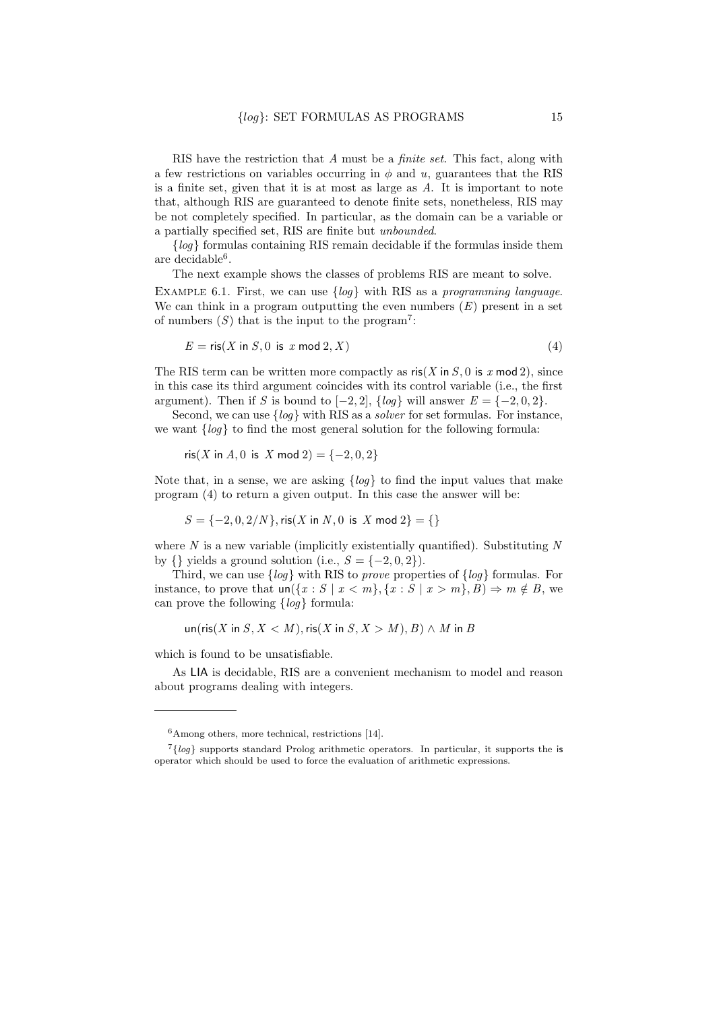RIS have the restriction that A must be a finite set. This fact, along with a few restrictions on variables occurring in  $\phi$  and u, guarantees that the RIS is a finite set, given that it is at most as large as A. It is important to note that, although RIS are guaranteed to denote finite sets, nonetheless, RIS may be not completely specified. In particular, as the domain can be a variable or a partially specified set, RIS are finite but unbounded.

 ${log}$  formulas containing RIS remain decidable if the formulas inside them are decidable<sup>6</sup> .

The next example shows the classes of problems RIS are meant to solve.

EXAMPLE 6.1. First, we can use  $\{log\}$  with RIS as a programming language. We can think in a program outputting the even numbers  $(E)$  present in a set of numbers  $(S)$  that is the input to the program<sup>7</sup>:

$$
E = \text{ris}(X \text{ in } S, 0 \text{ is } x \text{ mod } 2, X) \tag{4}
$$

The RIS term can be written more compactly as  $\operatorname{ris}(X \text{ in } S, 0 \text{ is } x \text{ mod } 2)$ , since in this case its third argument coincides with its control variable (i.e., the first argument). Then if S is bound to  $[-2, 2]$ ,  $\{log\}$  will answer  $E = \{-2, 0, 2\}$ .

Second, we can use  $\{log\}$  with RIS as a *solver* for set formulas. For instance, we want  $\{log\}$  to find the most general solution for the following formula:

$$
ris(X in A, 0 is X mod 2) = \{-2, 0, 2\}
$$

Note that, in a sense, we are asking  $\{log\}$  to find the input values that make program (4) to return a given output. In this case the answer will be:

$$
S = \{-2, 0, 2/N\}, \text{ris}(X \text{ in } N, 0 \text{ is } X \text{ mod } 2\} = \{\}
$$

where  $N$  is a new variable (implicitly existentially quantified). Substituting  $N$ by  $\{\}\$  yields a ground solution (i.e.,  $S = \{-2, 0, 2\}\$ ).

Third, we can use  $\{log\}$  with RIS to *prove* properties of  $\{log\}$  formulas. For instance, to prove that  $un({x : S | x < m}, {x : S | x > m}, B) \Rightarrow m \notin B$ , we can prove the following  $\{log\}$  formula:

$$
\text{un}(ris(X \text{ in } S, X < M), \text{ris}(X \text{ in } S, X > M), B) \wedge M \text{ in } B
$$

which is found to be unsatisfiable.

As LIA is decidable, RIS are a convenient mechanism to model and reason about programs dealing with integers.

 $^6\mbox{\sf Among others},$  more technical, restrictions [14].

 $7{log}$  supports standard Prolog arithmetic operators. In particular, it supports the is operator which should be used to force the evaluation of arithmetic expressions.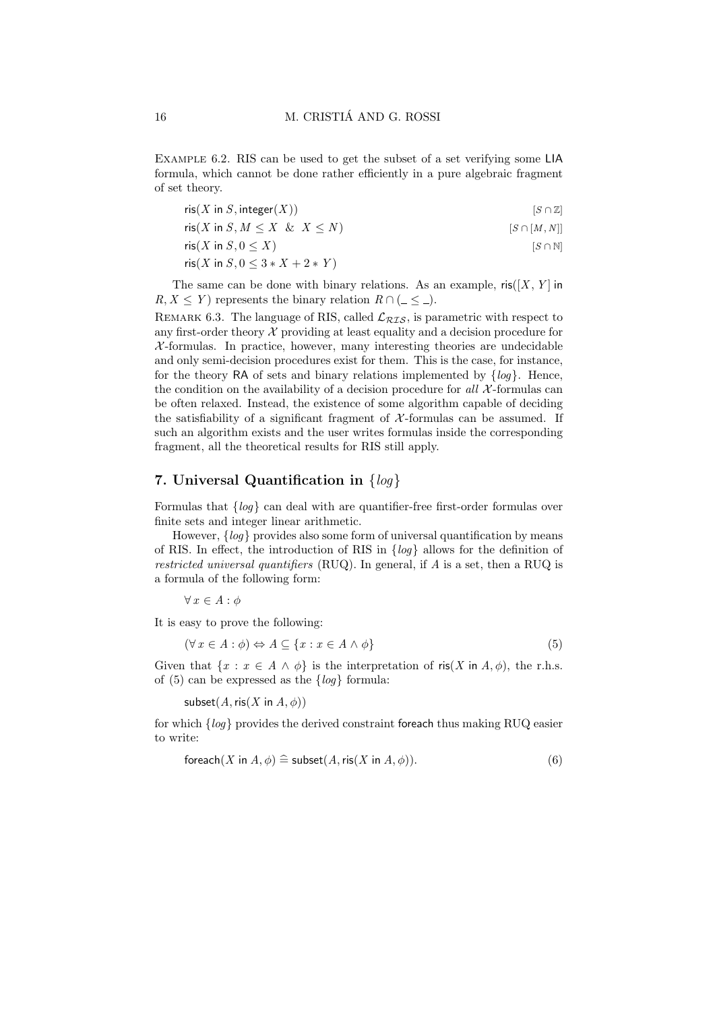Example 6.2. RIS can be used to get the subset of a set verifying some LIA formula, which cannot be done rather efficiently in a pure algebraic fragment of set theory.

 $\operatorname{ris}(X \text{ in } S, \operatorname{integer}(X))$  [S ∩ Z]

 $\text{ris}(X \text{ in } S, M \leq X \& X \leq N)$  [S ∩ [M, N]]

 $\operatorname{ris}(X \text{ in } S, 0 \leq X)$  [S ∩ N]

$$
ris(X in S, 0 \leq 3*X + 2*Y)
$$

The same can be done with binary relations. As an example,  $\mathsf{ris}([X, Y]$  in  $R, X \leq Y$  represents the binary relation  $R \cap (\underline{\hspace{1cm}} \leq \underline{\hspace{1cm}})$ .

REMARK 6.3. The language of RIS, called  $\mathcal{L}_{RIS}$ , is parametric with respect to any first-order theory  $X$  providing at least equality and a decision procedure for  $X$ -formulas. In practice, however, many interesting theories are undecidable and only semi-decision procedures exist for them. This is the case, for instance, for the theory RA of sets and binary relations implemented by  $\{log\}$ . Hence, the condition on the availability of a decision procedure for all  $\chi$ -formulas can be often relaxed. Instead, the existence of some algorithm capable of deciding the satisfiability of a significant fragment of  $\mathcal{X}$ -formulas can be assumed. If such an algorithm exists and the user writes formulas inside the corresponding fragment, all the theoretical results for RIS still apply.

## 7. Universal Quantification in  $\{log\}$

Formulas that  $\{log\}$  can deal with are quantifier-free first-order formulas over finite sets and integer linear arithmetic.

However,  ${loq}$  provides also some form of universal quantification by means of RIS. In effect, the introduction of RIS in  $\{log\}$  allows for the definition of restricted universal quantifiers (RUQ). In general, if  $A$  is a set, then a RUQ is a formula of the following form:

 $\forall x \in A : \phi$ 

It is easy to prove the following:

$$
(\forall x \in A : \phi) \Leftrightarrow A \subseteq \{x : x \in A \land \phi\}
$$
\n
$$
(5)
$$

Given that  $\{x : x \in A \land \phi\}$  is the interpretation of ris(X in A,  $\phi$ ), the r.h.s. of (5) can be expressed as the  $\{log\}$  formula:

subset $(A, \text{ris}(X \text{ in } A, \phi))$ 

for which {log} provides the derived constraint foreach thus making RUQ easier to write:

$$
\text{for each}(X \text{ in } A, \phi) \cong \text{subset}(A, \text{ris}(X \text{ in } A, \phi)).\tag{6}
$$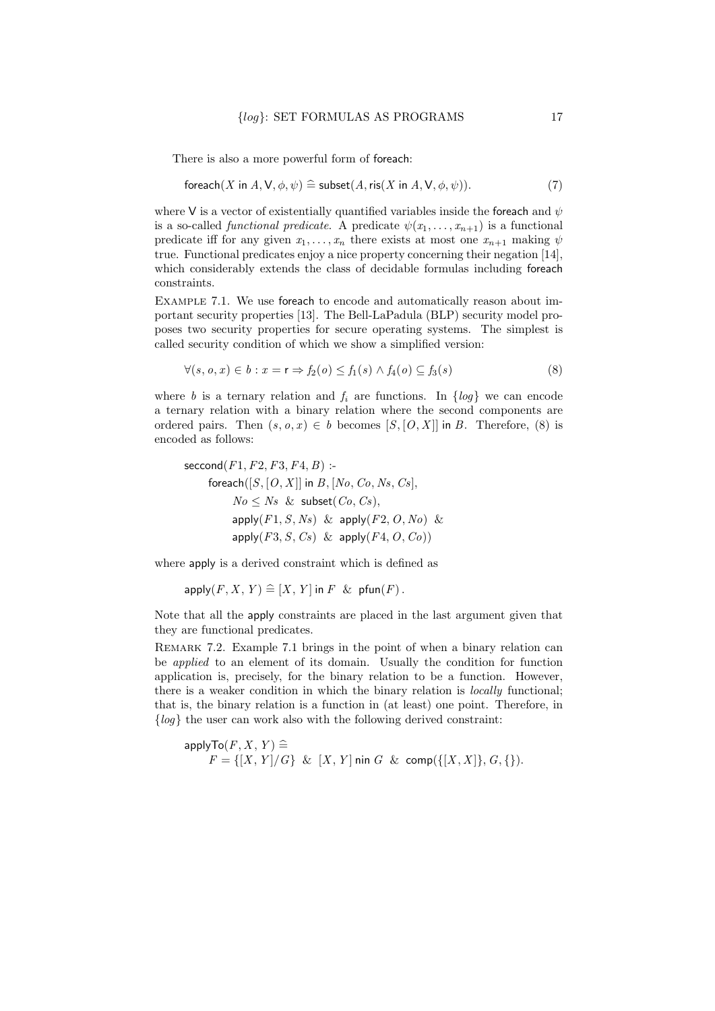There is also a more powerful form of foreach:

$$
\text{for each}(X \text{ in } A, \mathsf{V}, \phi, \psi) \cong \text{subset}(A, \text{ris}(X \text{ in } A, \mathsf{V}, \phi, \psi)).\tag{7}
$$

where V is a vector of existentially quantified variables inside the foreach and  $\psi$ is a so-called *functional predicate*. A predicate  $\psi(x_1, \ldots, x_{n+1})$  is a functional predicate iff for any given  $x_1, \ldots, x_n$  there exists at most one  $x_{n+1}$  making  $\psi$ true. Functional predicates enjoy a nice property concerning their negation [14], which considerably extends the class of decidable formulas including foreach constraints.

Example 7.1. We use foreach to encode and automatically reason about important security properties [13]. The Bell-LaPadula (BLP) security model proposes two security properties for secure operating systems. The simplest is called security condition of which we show a simplified version:

$$
\forall (s, o, x) \in b : x = r \Rightarrow f_2(o) \le f_1(s) \land f_4(o) \subseteq f_3(s)
$$
\n
$$
(8)
$$

where b is a ternary relation and  $f_i$  are functions. In  $\{log\}$  we can encode a ternary relation with a binary relation where the second components are ordered pairs. Then  $(s, o, x) \in b$  becomes  $[S, [O, X]]$  in B. Therefore, (8) is encoded as follows:

$$
\begin{aligned}\n\text{second}(F1, F2, F3, F4, B):\\
\text{forecast}([S, [O, X]] \text{ in } B, [No, Co, Ns, Cs],\\
& No \leq Ns \ \& \ \text{subset}(Co, Cs),\\
\text{apply}(F1, S, Ns) \ \& \ \text{apply}(F2, O, No) \ \& \\
\text{apply}(F3, S, Cs) \ \& \ \text{apply}(F4, O, Co)\n\end{aligned}
$$

where apply is a derived constraint which is defined as

 $apply(F, X, Y) \triangleq [X, Y]$  in F & pfun(F).

Note that all the apply constraints are placed in the last argument given that they are functional predicates.

Remark 7.2. Example 7.1 brings in the point of when a binary relation can be applied to an element of its domain. Usually the condition for function application is, precisely, for the binary relation to be a function. However, there is a weaker condition in which the binary relation is locally functional; that is, the binary relation is a function in (at least) one point. Therefore, in  ${log}$  the user can work also with the following derived constraint:

$$
\mathsf{applyTo}(F,X,\,Y) \mathrel{\widehat{=}}\\ F = \{[X,\,Y]/G\} \And [X,\,Y] \text{ nin } G \And \text{comp}(\{[X,X]\},G,\{\}).
$$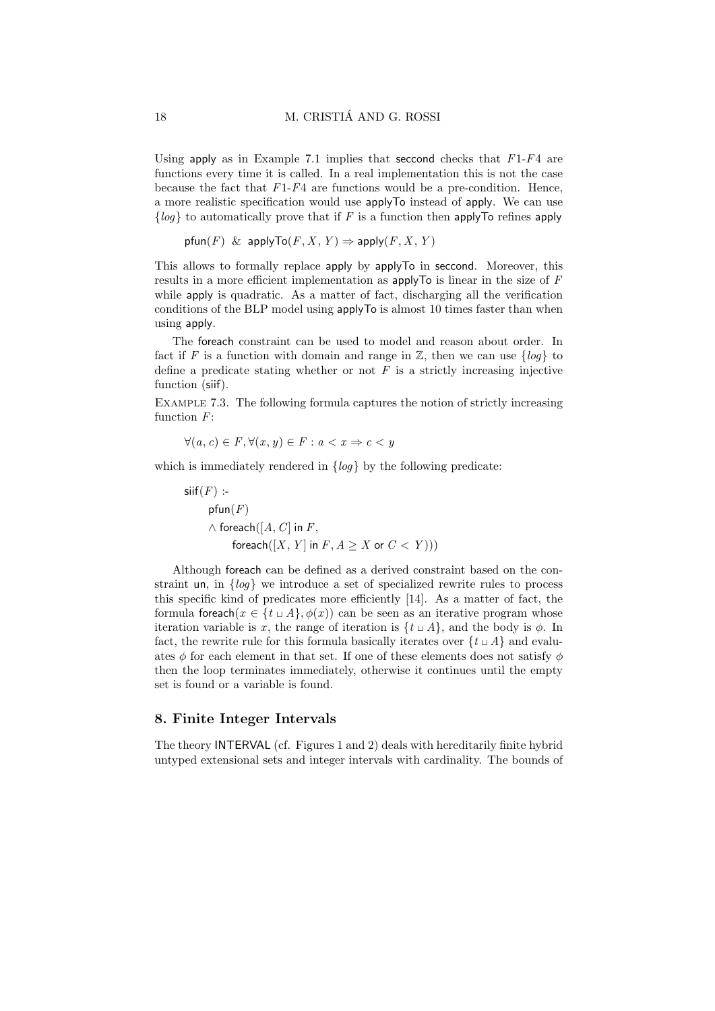Using apply as in Example 7.1 implies that seccond checks that  $F1-F4$  are functions every time it is called. In a real implementation this is not the case because the fact that  $F1-F4$  are functions would be a pre-condition. Hence, a more realistic specification would use applyTo instead of apply. We can use  ${log}$  to automatically prove that if F is a function then applyTo refines apply

```
pfun(F) & applyTo(F, X, Y) \Rightarrow apply(F, X, Y)
```
This allows to formally replace apply by applyTo in seccond. Moreover, this results in a more efficient implementation as applyTo is linear in the size of F while apply is quadratic. As a matter of fact, discharging all the verification conditions of the BLP model using applyTo is almost 10 times faster than when using apply.

The foreach constraint can be used to model and reason about order. In fact if F is a function with domain and range in  $\mathbb{Z}$ , then we can use  $\{log\}$  to define a predicate stating whether or not  $F$  is a strictly increasing injective function (siif).

Example 7.3. The following formula captures the notion of strictly increasing function  $F$ :

$$
\forall (a, c) \in F, \forall (x, y) \in F : a < x \Rightarrow c < y
$$

which is immediately rendered in  $\{log\}$  by the following predicate:

 $sif(F)$  : $pfun(F)$  $\wedge$  foreach([A, C] in F, foreach $([X, Y]$  in  $F, A \geq X$  or  $C < Y$ ))

Although foreach can be defined as a derived constraint based on the constraint un, in {log} we introduce a set of specialized rewrite rules to process this specific kind of predicates more efficiently [14]. As a matter of fact, the formula foreach( $x \in \{t \cup A\}$ ,  $\phi(x)$ ) can be seen as an iterative program whose iteration variable is x, the range of iteration is  $\{t \sqcup A\}$ , and the body is  $\phi$ . In fact, the rewrite rule for this formula basically iterates over  $\{t \sqcup A\}$  and evaluates  $\phi$  for each element in that set. If one of these elements does not satisfy  $\phi$ then the loop terminates immediately, otherwise it continues until the empty set is found or a variable is found.

## 8. Finite Integer Intervals

The theory INTERVAL (cf. Figures 1 and 2) deals with hereditarily finite hybrid untyped extensional sets and integer intervals with cardinality. The bounds of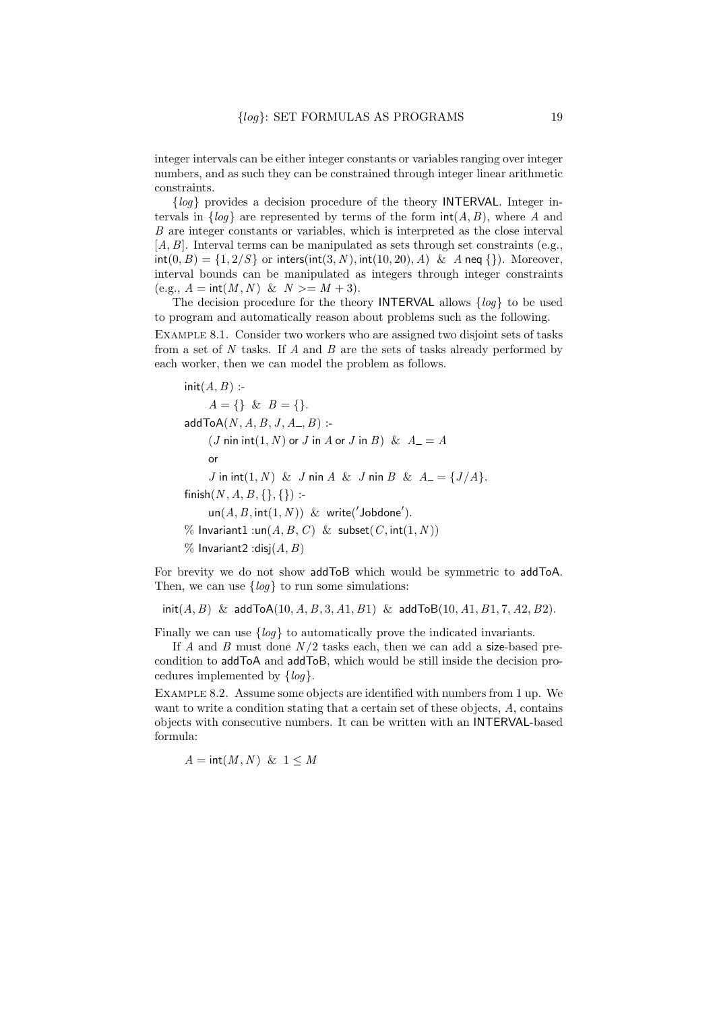integer intervals can be either integer constants or variables ranging over integer numbers, and as such they can be constrained through integer linear arithmetic constraints.

 ${log}$  provides a decision procedure of the theory INTERVAL. Integer intervals in  $\{log\}$  are represented by terms of the form  $int(A, B)$ , where A and B are integer constants or variables, which is interpreted as the close interval  $[A, B]$ . Interval terms can be manipulated as sets through set constraints (e.g.,  $\text{int}(0, B) = \{1, 2/S\}$  or  $\text{inters}(\text{int}(3, N), \text{int}(10, 20), A) \& A \text{neg } \{\}\)$ . Moreover, interval bounds can be manipulated as integers through integer constraints (e.g.,  $A = \text{int}(M, N) \& N \geq M + 3$ ).

The decision procedure for the theory INTERVAL allows  $\{log\}$  to be used to program and automatically reason about problems such as the following.

Example 8.1. Consider two workers who are assigned two disjoint sets of tasks from a set of N tasks. If A and B are the sets of tasks already performed by each worker, then we can model the problem as follows.

$$
init(A, B) :-A = \{\} \& B = \{\}.
$$
  
addToA(*N*, *A*, *B*, *J*, *A*., *B*):  
(*J* nin int(1, *N*) or *J* in *A* or *J* in *B*) & *A* = *A*  
or  
*J* in int(1, *N*) & *J* nin *A* & *J* nin *B* & *A* = {*J*/*A*}.  
finish(*N*, *A*, *B*, {}, {}) :-  
un(*A*, *B*, int(1, *N*)) & write('Jobdone').  
% Invariant1:un(*A*, *B*, *C*) & subset(*C*, int(1, *N*))  
% Invariant2:disj(*A*, *B*)

For brevity we do not show addToB which would be symmetric to addToA. Then, we can use  $\{log\}$  to run some simulations:

 $\text{init}(A, B)$  & addToA $(10, A, B, 3, A1, B1)$  & addToB $(10, A1, B1, 7, A2, B2)$ .

Finally we can use  $\{log\}$  to automatically prove the indicated invariants.

If A and B must done  $N/2$  tasks each, then we can add a size-based precondition to addToA and addToB, which would be still inside the decision procedures implemented by  $\{log\}$ .

Example 8.2. Assume some objects are identified with numbers from 1 up. We want to write a condition stating that a certain set of these objects, A, contains objects with consecutive numbers. It can be written with an INTERVAL-based formula:

 $A = \text{int}(M, N) \& 1 \leq M$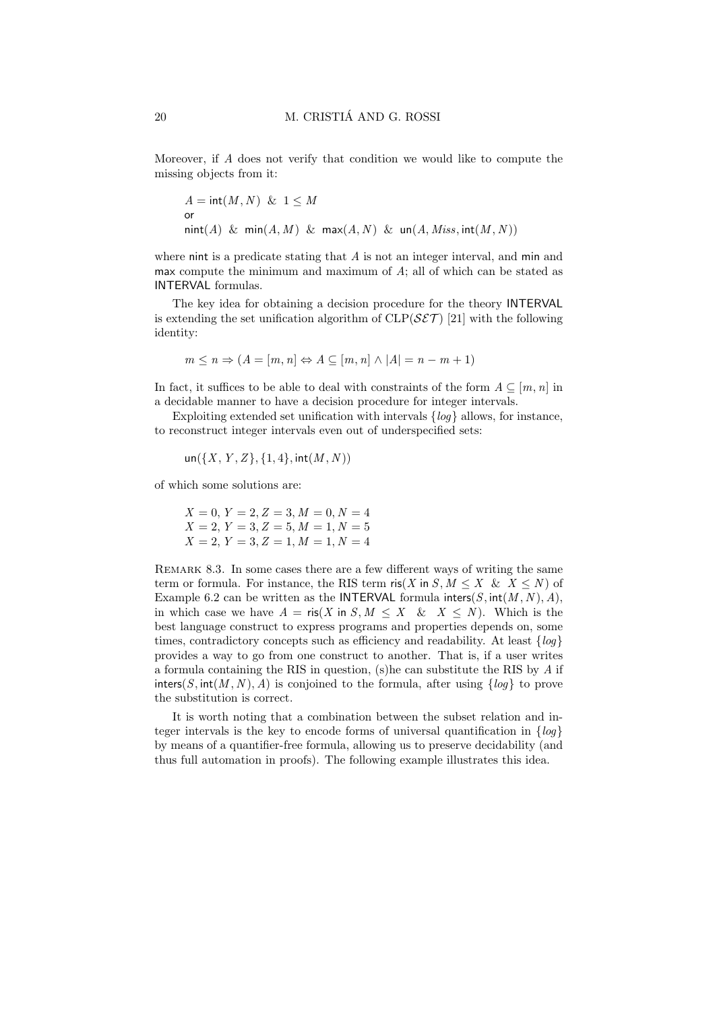Moreover, if A does not verify that condition we would like to compute the missing objects from it:

$$
A = \text{int}(M, N) \& 1 \leq M
$$
  
or  

$$
\text{nint}(A) \& \text{min}(A, M) \& \text{max}(A, N) \& \text{un}(A, Miss, \text{int}(M, N))
$$

where nint is a predicate stating that A is not an integer interval, and min and max compute the minimum and maximum of  $A$ ; all of which can be stated as INTERVAL formulas.

The key idea for obtaining a decision procedure for the theory INTERVAL is extending the set unification algorithm of  $CLP(\mathcal{SET})$  [21] with the following identity:

$$
m \le n \Rightarrow (A = [m, n] \Leftrightarrow A \subseteq [m, n] \wedge |A| = n - m + 1)
$$

In fact, it suffices to be able to deal with constraints of the form  $A \subseteq [m, n]$  in a decidable manner to have a decision procedure for integer intervals.

Exploiting extended set unification with intervals  $\{log\}$  allows, for instance, to reconstruct integer intervals even out of underspecified sets:

$$
un({X, Y, Z}, {1, 4}, int(M, N))
$$

of which some solutions are:

$$
X = 0, Y = 2, Z = 3, M = 0, N = 4
$$
  

$$
X = 2, Y = 3, Z = 5, M = 1, N = 5
$$
  

$$
X = 2, Y = 3, Z = 1, M = 1, N = 4
$$

Remark 8.3. In some cases there are a few different ways of writing the same term or formula. For instance, the RIS term  $\operatorname{ris}(X \text{ in } S, M \leq X \& X \leq N)$  of Example 6.2 can be written as the INTERVAL formula inters(S,  $int(M, N), A$ ), in which case we have  $A = \text{ris}(X \text{ in } S, M \leq X \& X \leq N)$ . Which is the best language construct to express programs and properties depends on, some times, contradictory concepts such as efficiency and readability. At least  $\{log\}$ provides a way to go from one construct to another. That is, if a user writes a formula containing the RIS in question, (s)he can substitute the RIS by  $A$  if inters(S, int(M, N), A) is conjoined to the formula, after using  $\{log\}$  to prove the substitution is correct.

It is worth noting that a combination between the subset relation and integer intervals is the key to encode forms of universal quantification in  $\{loq\}$ by means of a quantifier-free formula, allowing us to preserve decidability (and thus full automation in proofs). The following example illustrates this idea.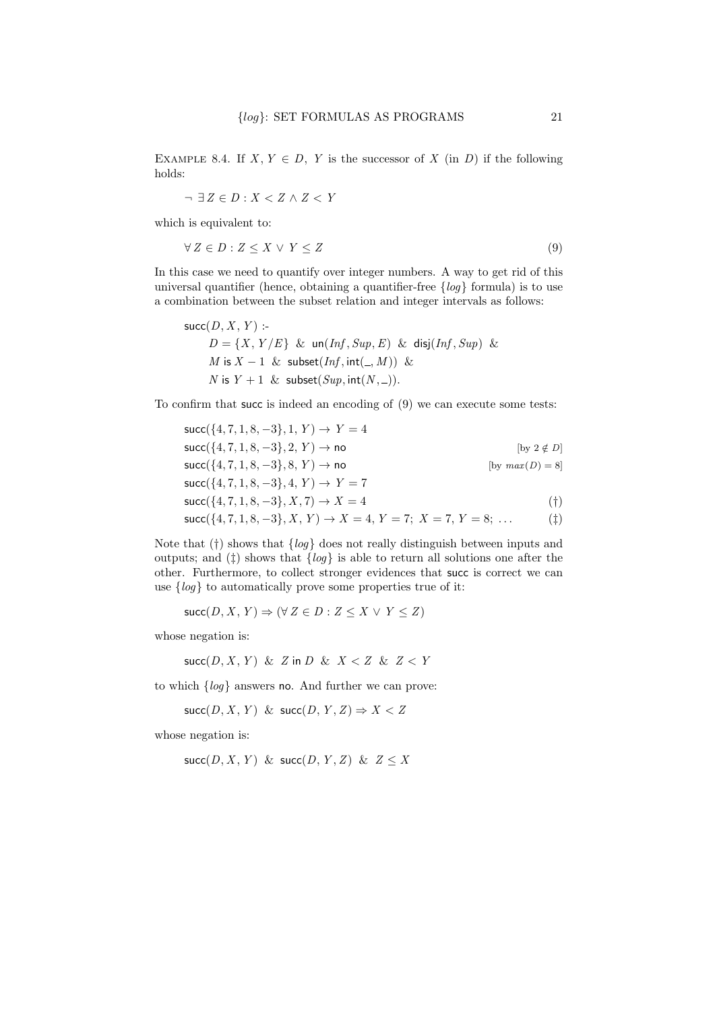EXAMPLE 8.4. If  $X, Y \in D$ , Y is the successor of X (in D) if the following holds:

$$
\neg \ \exists \, Z \in D : X < Z \land Z < Y
$$

which is equivalent to:

$$
\forall Z \in D : Z \le X \lor Y \le Z \tag{9}
$$

In this case we need to quantify over integer numbers. A way to get rid of this universal quantifier (hence, obtaining a quantifier-free  $\{log\}$  formula) is to use a combination between the subset relation and integer intervals as follows:

$$
\begin{aligned}\n\text{succ}(D, X, Y): \\
D &= \{X, Y/E\} \& \text{un}(Inf, Sup, E) \& \text{disj}(Inf, Sup) \& \\ M \text{ is } X - 1 \& \text{subset}(Inf, \text{int}(\_, M)) \& \\ N \text{ is } Y + 1 \& \text{subset}(Sup, \text{int}(N, \_)).\n\end{aligned}
$$

To confirm that succ is indeed an encoding of (9) we can execute some tests:

$$
succ({4, 7, 1, 8, -3}, 1, Y) \rightarrow Y = 4
$$
  
\n
$$
succ({4, 7, 1, 8, -3}, 2, Y) \rightarrow no
$$
 [by 2  $\notin$  D]  
\n
$$
succ({4, 7, 1, 8, -3}, 8, Y) \rightarrow no
$$
 [by  $max(D) = 8$ ]  
\n
$$
succ({4, 7, 1, 8, -3}, 4, Y) \rightarrow Y = 7
$$
  
\n
$$
succ({4, 7, 1, 8, -3}, X, 7) \rightarrow X = 4
$$
 (†)  
\n
$$
succ({4, 7, 1, 8, -3}, X, Y) \rightarrow X = 4, Y = 7, Y = 8, ...
$$
 (†)

Note that  $(\dagger)$  shows that  $\{log\}$  does not really distinguish between inputs and outputs; and  $(\ddagger)$  shows that  $\{log\}$  is able to return all solutions one after the other. Furthermore, to collect stronger evidences that succ is correct we can use  $\{log\}$  to automatically prove some properties true of it:

$$
\text{succ}(D, X, Y) \Rightarrow (\forall Z \in D : Z \leq X \lor Y \leq Z)
$$

whose negation is:

$$
\mathsf{succ}(D, X, Y) \And Z \text{ in } D \And X < Z \And Z < Y
$$

to which  $\{log\}$  answers no. And further we can prove:

$$
\text{succ}(D, X, Y) \& \text{succ}(D, Y, Z) \Rightarrow X < Z
$$

whose negation is:

 $succ(D, X, Y)$  &  $succ(D, Y, Z)$  &  $Z \leq X$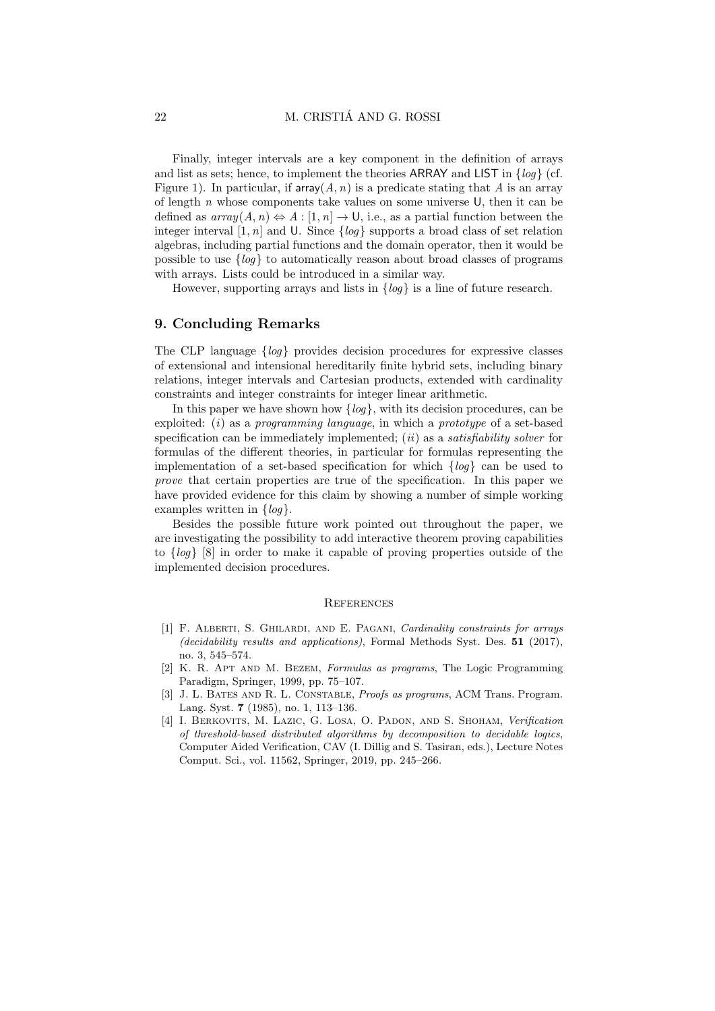Finally, integer intervals are a key component in the definition of arrays and list as sets; hence, to implement the theories ARRAY and LIST in  $\{log\}$  (cf. Figure 1). In particular, if  $\text{array}(A, n)$  is a predicate stating that A is an array of length n whose components take values on some universe  $\mathsf{U}$ , then it can be defined as  $array(A, n) \Leftrightarrow A : [1, n] \rightarrow \mathsf{U}$ , i.e., as a partial function between the integer interval [1, n] and U. Since  $\{log\}$  supports a broad class of set relation algebras, including partial functions and the domain operator, then it would be possible to use  $\{log\}$  to automatically reason about broad classes of programs with arrays. Lists could be introduced in a similar way.

However, supporting arrays and lists in  $\{log\}$  is a line of future research.

## 9. Concluding Remarks

The CLP language  $\{log\}$  provides decision procedures for expressive classes of extensional and intensional hereditarily finite hybrid sets, including binary relations, integer intervals and Cartesian products, extended with cardinality constraints and integer constraints for integer linear arithmetic.

In this paper we have shown how  $\{log\}$ , with its decision procedures, can be exploited:  $(i)$  as a programming language, in which a prototype of a set-based specification can be immediately implemented;  $(ii)$  as a *satisfiability solver* for formulas of the different theories, in particular for formulas representing the implementation of a set-based specification for which  $\{log\}$  can be used to prove that certain properties are true of the specification. In this paper we have provided evidence for this claim by showing a number of simple working examples written in  $\{log\}$ .

Besides the possible future work pointed out throughout the paper, we are investigating the possibility to add interactive theorem proving capabilities to {log} [8] in order to make it capable of proving properties outside of the implemented decision procedures.

#### **REFERENCES**

- [1] F. Alberti, S. Ghilardi, and E. Pagani, Cardinality constraints for arrays (decidability results and applications), Formal Methods Syst. Des. 51 (2017), no. 3, 545–574.
- [2] K. R. Apt and M. Bezem, Formulas as programs, The Logic Programming Paradigm, Springer, 1999, pp. 75–107.
- [3] J. L. BATES AND R. L. CONSTABLE, *Proofs as programs*, ACM Trans. Program. Lang. Syst. 7 (1985), no. 1, 113–136.
- [4] I. Berkovits, M. Lazic, G. Losa, O. Padon, and S. Shoham, Verification of threshold-based distributed algorithms by decomposition to decidable logics, Computer Aided Verification, CAV (I. Dillig and S. Tasiran, eds.), Lecture Notes Comput. Sci., vol. 11562, Springer, 2019, pp. 245–266.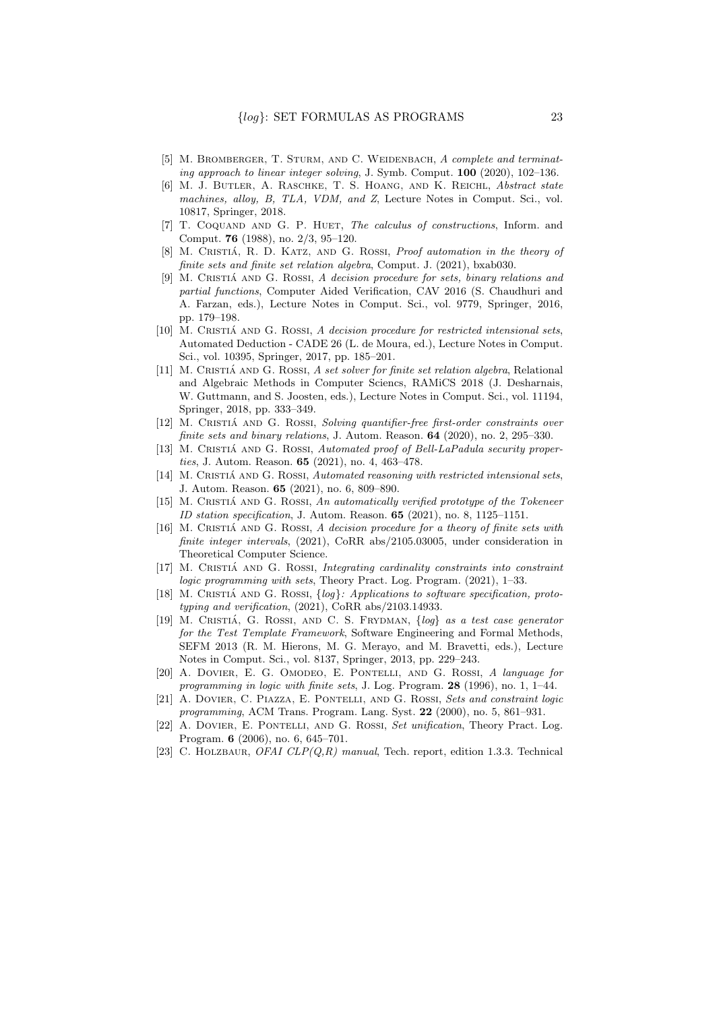- [5] M. BROMBERGER, T. STURM, AND C. WEIDENBACH, A complete and terminating approach to linear integer solving, J. Symb. Comput. 100 (2020), 102–136.
- [6] M. J. Butler, A. Raschke, T. S. Hoang, and K. Reichl, Abstract state machines, alloy, B, TLA, VDM, and Z, Lecture Notes in Comput. Sci., vol. 10817, Springer, 2018.
- [7] T. COQUAND AND G. P. HUET, The calculus of constructions, Inform. and Comput. 76 (1988), no. 2/3, 95–120.
- [8] M. CRISTIÁ, R. D. KATZ, AND G. ROSSI, Proof automation in the theory of finite sets and finite set relation algebra, Comput. J. (2021), bxab030.
- [9] M. CRISTIÁ AND G. ROSSI, A decision procedure for sets, binary relations and partial functions, Computer Aided Verification, CAV 2016 (S. Chaudhuri and A. Farzan, eds.), Lecture Notes in Comput. Sci., vol. 9779, Springer, 2016, pp. 179–198.
- $[10]$  M. CRISTIÁ AND G. ROSSI, A decision procedure for restricted intensional sets, Automated Deduction - CADE 26 (L. de Moura, ed.), Lecture Notes in Comput. Sci., vol. 10395, Springer, 2017, pp. 185–201.
- [11] M. CRISTIÁ AND G. ROSSI, A set solver for finite set relation algebra, Relational and Algebraic Methods in Computer Sciencs, RAMiCS 2018 (J. Desharnais, W. Guttmann, and S. Joosten, eds.), Lecture Notes in Comput. Sci., vol. 11194, Springer, 2018, pp. 333–349.
- [12] M. CRISTIÁ AND G. ROSSI, Solving quantifier-free first-order constraints over finite sets and binary relations, J. Autom. Reason. **64** (2020), no. 2, 295-330.
- [13] M. CRISTIÁ AND G. ROSSI, Automated proof of Bell-LaPadula security properties, J. Autom. Reason. 65 (2021), no. 4, 463–478.
- $[14]$  M. CRISTIÁ AND G. ROSSI, Automated reasoning with restricted intensional sets, J. Autom. Reason. 65 (2021), no. 6, 809–890.
- $[15]$  M. CRISTIÁ AND G. ROSSI, An automatically verified prototype of the Tokeneer ID station specification, J. Autom. Reason. 65 (2021), no. 8, 1125-1151.
- $[16]$  M. CRISTIÁ AND G. ROSSI, A decision procedure for a theory of finite sets with finite integer intervals, (2021), CoRR abs/2105.03005, under consideration in Theoretical Computer Science.
- [17] M. CRISTIÁ AND G. ROSSI, Integrating cardinality constraints into constraint logic programming with sets, Theory Pract. Log. Program. (2021), 1–33.
- [18] M. CRISTIÁ AND G. ROSSI,  $\{log\}$ : Applications to software specification, prototyping and verification, (2021), CoRR abs/2103.14933.
- [19] M. CRISTIÁ, G. ROSSI, AND C. S. FRYDMAN,  $\{log\}$  as a test case generator for the Test Template Framework, Software Engineering and Formal Methods, SEFM 2013 (R. M. Hierons, M. G. Merayo, and M. Bravetti, eds.), Lecture Notes in Comput. Sci., vol. 8137, Springer, 2013, pp. 229–243.
- [20] A. Dovier, E. G. Omodeo, E. Pontelli, and G. Rossi, A language for programming in logic with finite sets, J. Log. Program. 28 (1996), no. 1, 1–44.
- [21] A. DOVIER, C. PIAZZA, E. PONTELLI, AND G. ROSSI, Sets and constraint logic programming, ACM Trans. Program. Lang. Syst. 22 (2000), no. 5, 861–931.
- [22] A. Dovier, E. Pontelli, and G. Rossi, Set unification, Theory Pract. Log. Program. 6 (2006), no. 6, 645–701.
- [23] C. HOLZBAUR, OFAI CLP(Q,R) manual, Tech. report, edition 1.3.3. Technical